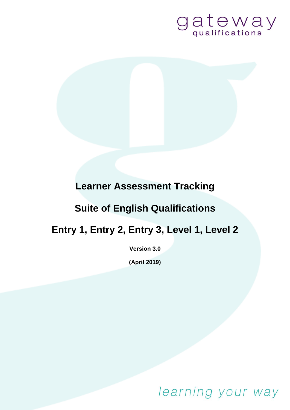



# **Suite of English Qualifications**

**Entry 1, Entry 2, Entry 3, Level 1, Level 2**

**Version 3.0**

**(April 2019)**

*Iearning your way*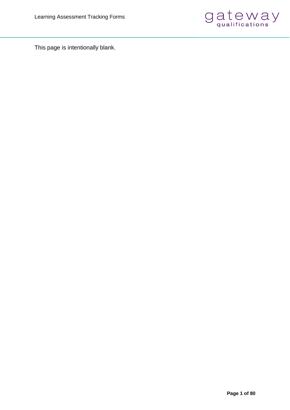

This page is intentionally blank.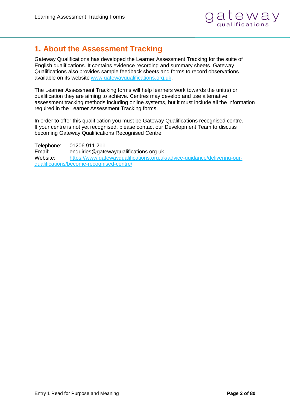

# <span id="page-2-0"></span>**1. About the Assessment Tracking**

Gateway Qualifications has developed the Learner Assessment Tracking for the suite of English qualifications. It contains evidence recording and summary sheets. Gateway Qualifications also provides sample feedback sheets and forms to record observations available on its website [www.gatewayqualifications.org.uk.](http://www.gatewayqualifications.org.uk/)

The Learner Assessment Tracking forms will help learners work towards the unit(s) or qualification they are aiming to achieve. Centres may develop and use alternative assessment tracking methods including online systems, but it must include all the information required in the Learner Assessment Tracking forms.

In order to offer this qualification you must be Gateway Qualifications recognised centre. If your centre is not yet recognised, please contact our Development Team to discuss becoming Gateway Qualifications Recognised Centre:

Telephone: 01206 911 211 Email: enquiries@gatewayqualifications.org.uk Website: [https://www.gatewayqualifications.org.uk/advice-guidance/delivering-our](https://www.gatewayqualifications.org.uk/advice-guidance/delivering-our-qualifications/become-recognised-centre/)[qualifications/become-recognised-centre/](https://www.gatewayqualifications.org.uk/advice-guidance/delivering-our-qualifications/become-recognised-centre/)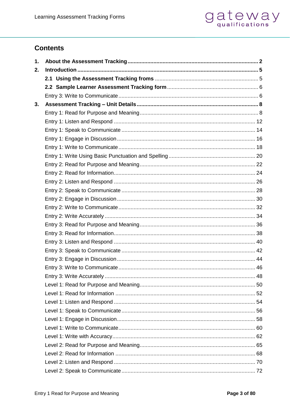

### **Contents**

| 1. |  |  |  |
|----|--|--|--|
| 2. |  |  |  |
|    |  |  |  |
|    |  |  |  |
|    |  |  |  |
| 3. |  |  |  |
|    |  |  |  |
|    |  |  |  |
|    |  |  |  |
|    |  |  |  |
|    |  |  |  |
|    |  |  |  |
|    |  |  |  |
|    |  |  |  |
|    |  |  |  |
|    |  |  |  |
|    |  |  |  |
|    |  |  |  |
|    |  |  |  |
|    |  |  |  |
|    |  |  |  |
|    |  |  |  |
|    |  |  |  |
|    |  |  |  |
|    |  |  |  |
|    |  |  |  |
|    |  |  |  |
|    |  |  |  |
|    |  |  |  |
|    |  |  |  |
|    |  |  |  |
|    |  |  |  |
|    |  |  |  |
|    |  |  |  |
|    |  |  |  |
|    |  |  |  |
|    |  |  |  |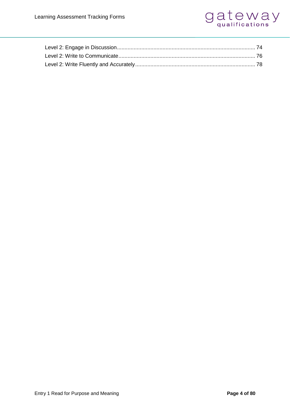# $\bigcirc \underset{\text{qualifications}}{\text{at}} \bigcirc \underset{\text{N}}{\text{in}} \mathbb{C} \times \mathbb{C} \times \mathbb{C} \times \mathbb{C}$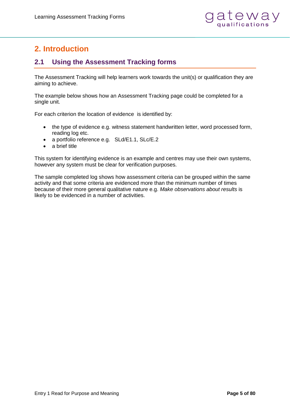

# <span id="page-5-0"></span>**2. Introduction**

### <span id="page-5-1"></span>**2.1 Using the Assessment Tracking forms**

The Assessment Tracking will help learners work towards the unit(s) or qualification they are aiming to achieve.

The example below shows how an Assessment Tracking page could be completed for a single unit.

For each criterion the location of evidence is identified by:

- the type of evidence e.g. witness statement handwritten letter, word processed form, reading log etc.
- a portfolio reference e.g. SLd/E1.1, SLc/E.2
- a brief title

This system for identifying evidence is an example and centres may use their own systems, however any system must be clear for verification purposes.

The sample completed log shows how assessment criteria can be grouped within the same activity and that some criteria are evidenced more than the minimum number of times because of their more general qualitative nature e.g. *Make observations about results* is likely to be evidenced in a number of activities.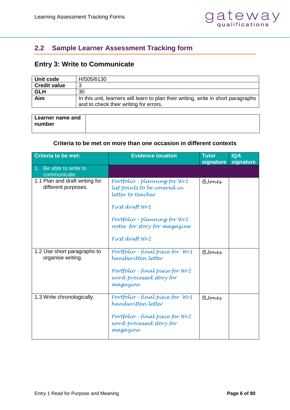# <span id="page-6-0"></span>**2.2 Sample Learner Assessment Tracking form**

# <span id="page-6-1"></span>**Entry 3: Write to Communicate**

| Unit code           | H/505/6130                                                                                                                   |
|---------------------|------------------------------------------------------------------------------------------------------------------------------|
| <b>Credit value</b> |                                                                                                                              |
| <b>GLH</b>          | 30                                                                                                                           |
| Aim                 | In this unit, learners will learn to plan their writing, write in short paragraphs<br>and to check their writing for errors. |

| $\mid$ Learner name and |  |
|-------------------------|--|
| number                  |  |
|                         |  |

#### **Criteria to be met on more than one occasion in different contexts**

| <b>Criteria to be met:</b>                            | <b>Evidence location</b>                                                                                                                                                                | <b>Tutor</b><br>signature | <b>IQA</b><br>signature |
|-------------------------------------------------------|-----------------------------------------------------------------------------------------------------------------------------------------------------------------------------------------|---------------------------|-------------------------|
| Be able to write to<br>1.<br>communicate.             |                                                                                                                                                                                         |                           |                         |
| 1.1 Plan and draft writing for<br>different purposes. | Portfolío - planning for Wr1<br>list points to be covered in<br>letter to teacher<br>First draft Wr1<br>Portfolio - planning for Wr2<br>notes for story for magazine<br>First draft Wr2 | BJones                    |                         |
| 1.2 Use short paragraphs to<br>organise writing.      | Portfolio - final piece for Wr1<br>handwritten letter<br>Portfolio - final piece for Wr2<br>word-processed story for<br>magazine                                                        | BJones                    |                         |
| 1.3 Write chronologically.                            | Portfolio - final piece for Wr1<br>handwritten letter<br>Portfolio - final piece for Wr2<br>word-processed story for<br>magazine                                                        | BJones                    |                         |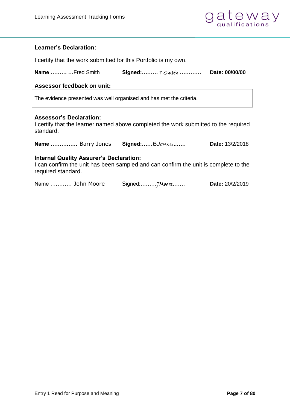

#### **Learner's Declaration:**

I certify that the work submitted for this Portfolio is my own.

| Name  Fred Smith |  |  | $Signed: \ldots \ldots \vdash \mathsf{Smith} \ldots \ldots \ldots$ | Date: 00/00/00 |
|------------------|--|--|--------------------------------------------------------------------|----------------|
|------------------|--|--|--------------------------------------------------------------------|----------------|

#### **Assessor feedback on unit:**

The evidence presented was well organised and has met the criteria.

#### **Assessor's Declaration:**

I certify that the learner named above completed the work submitted to the required standard.

| Date: 13/2/2018<br>Name  Barry Jones<br><b>Signed:</b> BJoney |
|---------------------------------------------------------------|
|---------------------------------------------------------------|

#### **Internal Quality Assurer's Declaration:**

|  | Name  John Moore | Signed: <i>JMoore</i> | Date: 20/2/2019 |
|--|------------------|-----------------------|-----------------|
|--|------------------|-----------------------|-----------------|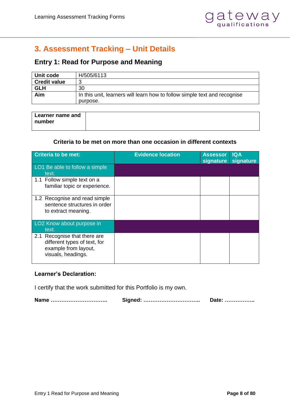# <span id="page-8-0"></span>**3. Assessment Tracking – Unit Details**

### <span id="page-8-1"></span>**Entry 1: Read for Purpose and Meaning**

| Unit code           | H/505/6113                                                                |
|---------------------|---------------------------------------------------------------------------|
| <b>Credit value</b> | ⌒                                                                         |
| <b>GLH</b>          | 30                                                                        |
| Aim                 | In this unit, learners will learn how to follow simple text and recognise |
|                     | purpose.                                                                  |

| Learner name and |  |  |
|------------------|--|--|
| number           |  |  |
|                  |  |  |

#### **Criteria to be met on more than one occasion in different contexts**

| <b>Criteria to be met:</b>                                                                                 | <b>Evidence location</b> | <b>Assessor</b><br>signature | <b>IQA</b><br>signature |
|------------------------------------------------------------------------------------------------------------|--------------------------|------------------------------|-------------------------|
| LO1 Be able to follow a simple<br>text.                                                                    |                          |                              |                         |
| 1.1 Follow simple text on a<br>familiar topic or experience.                                               |                          |                              |                         |
| 1.2 Recognise and read simple<br>sentence structures in order<br>to extract meaning.                       |                          |                              |                         |
| LO2 Know about purpose in<br>text.                                                                         |                          |                              |                         |
| 2.1 Recognise that there are<br>different types of text, for<br>example from layout,<br>visuals, headings. |                          |                              |                         |

#### **Learner's Declaration:**

I certify that the work submitted for this Portfolio is my own.

| Name |  | Date: |
|------|--|-------|
|------|--|-------|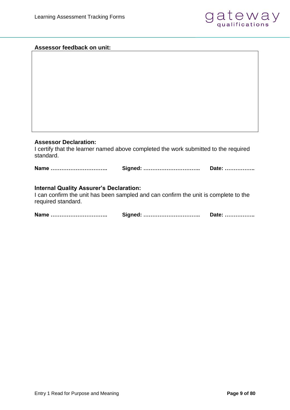

#### **Assessor Declaration:**

I certify that the learner named above completed the work submitted to the required standard.

| Name | Signed: | Date: |
|------|---------|-------|
|      |         |       |

### **Internal Quality Assurer's Declaration:**

| Name | Signed: | Dalt. |
|------|---------|-------|
|      |         |       |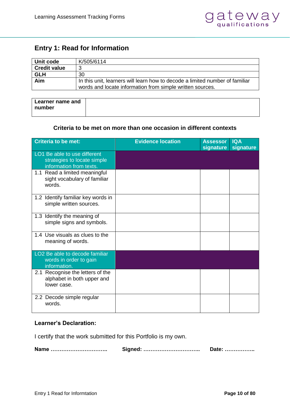

# **Entry 1: Read for Information**

| Unit code           | K/505/6114                                                                                                                                |
|---------------------|-------------------------------------------------------------------------------------------------------------------------------------------|
| <b>Credit value</b> |                                                                                                                                           |
| <b>GLH</b>          | 30                                                                                                                                        |
| Aim                 | In this unit, learners will learn how to decode a limited number of familiar<br>words and locate information from simple written sources. |

| Learner name and |  |
|------------------|--|
| number           |  |
|                  |  |

#### **Criteria to be met on more than one occasion in different contexts**

| <b>Criteria to be met:</b>                                                             | <b>Evidence location</b> | <b>Assessor</b><br>signature | <b>IQA</b><br>signature |
|----------------------------------------------------------------------------------------|--------------------------|------------------------------|-------------------------|
| LO1 Be able to use different<br>strategies to locate simple<br>information from texts. |                          |                              |                         |
| 1.1 Read a limited meaningful<br>sight vocabulary of familiar<br>words.                |                          |                              |                         |
| 1.2 Identify familiar key words in<br>simple written sources.                          |                          |                              |                         |
| 1.3 Identify the meaning of<br>simple signs and symbols.                               |                          |                              |                         |
| 1.4 Use visuals as clues to the<br>meaning of words.                                   |                          |                              |                         |
| LO <sub>2</sub> Be able to decode familiar<br>words in order to gain<br>information.   |                          |                              |                         |
| 2.1 Recognise the letters of the<br>alphabet in both upper and<br>lower case.          |                          |                              |                         |
| 2.2 Decode simple regular<br>words.                                                    |                          |                              |                         |

### **Learner's Declaration:**

I certify that the work submitted for this Portfolio is my own.

| Name | Date: |
|------|-------|
|------|-------|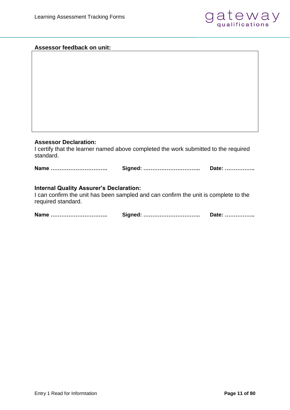

#### **Assessor Declaration:**

I certify that the learner named above completed the work submitted to the required standard.

| Name | Signed: | Date: |
|------|---------|-------|
|      |         |       |

### **Internal Quality Assurer's Declaration:**

| Name | Signed: | Dalt. |
|------|---------|-------|
|      |         |       |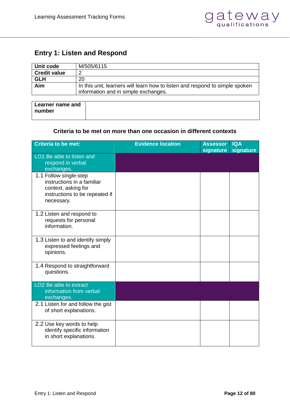

# <span id="page-12-0"></span>**Entry 1: Listen and Respond**

| In this unit, learners will learn how to listen and respond to simple spoken |
|------------------------------------------------------------------------------|
|                                                                              |

| Learner name and |  |
|------------------|--|
| ∣ number         |  |
|                  |  |

### **Criteria to be met on more than one occasion in different contexts**

| <b>Criteria to be met:</b>                                                                                                  | <b>Evidence location</b> | <b>Assessor</b><br>signature | <b>IQA</b><br>signature |
|-----------------------------------------------------------------------------------------------------------------------------|--------------------------|------------------------------|-------------------------|
| LO1 Be able to listen and<br>respond in verbal<br>exchanges.                                                                |                          |                              |                         |
| 1.1 Follow single-step<br>instructions in a familiar<br>context, asking for<br>instructions to be repeated if<br>necessary. |                          |                              |                         |
| 1.2 Listen and respond to<br>requests for personal<br>information.                                                          |                          |                              |                         |
| 1.3 Listen to and identify simply<br>expressed feelings and<br>opinions.                                                    |                          |                              |                         |
| 1.4 Respond to straightforward<br>questions.                                                                                |                          |                              |                         |
| LO <sub>2</sub> Be able to extract<br>information from verbal<br>exchanges.                                                 |                          |                              |                         |
| 2.1 Listen for and follow the gist<br>of short explanations.                                                                |                          |                              |                         |
| 2.2 Use key words to help<br>identify specific information<br>in short explanations.                                        |                          |                              |                         |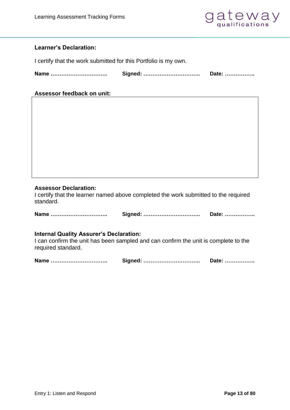

#### **Learner's Declaration:**

I certify that the work submitted for this Portfolio is my own.

| Name | Date: |
|------|-------|
|      |       |

#### **Assessor feedback on unit:**

#### **Assessor Declaration:**

I certify that the learner named above completed the work submitted to the required standard.

| Name | Signed: | Date: |
|------|---------|-------|
|      |         |       |

#### **Internal Quality Assurer's Declaration:**

| Name<br><b>Pianod</b><br><b>Signed:</b> |  |
|-----------------------------------------|--|
|-----------------------------------------|--|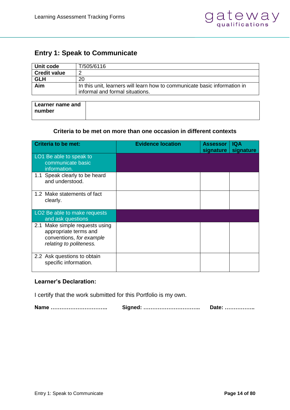

# <span id="page-14-0"></span>**Entry 1: Speak to Communicate**

| Unit code           | T/505/6116                                                                                                   |
|---------------------|--------------------------------------------------------------------------------------------------------------|
| <b>Credit value</b> |                                                                                                              |
| <b>GLH</b>          | 20                                                                                                           |
| Aim                 | In this unit, learners will learn how to communicate basic information in<br>informal and formal situations. |

| Learner name and |  |
|------------------|--|
| ∣ number         |  |
|                  |  |

#### **Criteria to be met on more than one occasion in different contexts**

| <b>Criteria to be met:</b>                                                                                        | <b>Evidence location</b> | <b>Assessor</b><br>signature | <b>IQA</b><br>signature |
|-------------------------------------------------------------------------------------------------------------------|--------------------------|------------------------------|-------------------------|
| LO1 Be able to speak to<br>communicate basic<br>information.                                                      |                          |                              |                         |
| 1.1 Speak clearly to be heard<br>and understood.                                                                  |                          |                              |                         |
| 1.2 Make statements of fact<br>clearly.                                                                           |                          |                              |                         |
| LO <sub>2</sub> Be able to make requests<br>and ask questions                                                     |                          |                              |                         |
| Make simple requests using<br>2.1<br>appropriate terms and<br>conventions, for example<br>relating to politeness. |                          |                              |                         |
| 2.2 Ask questions to obtain<br>specific information.                                                              |                          |                              |                         |

#### **Learner's Declaration:**

I certify that the work submitted for this Portfolio is my own.

**Name ………………………….. Signed: ………………………….. Date: ……………..**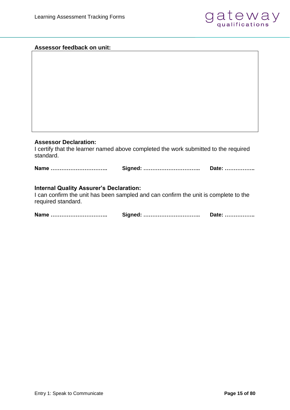

#### **Assessor Declaration:**

I certify that the learner named above completed the work submitted to the required standard.

| Name | Signed: | Date: |
|------|---------|-------|
|      |         |       |

### **Internal Quality Assurer's Declaration:**

| Name | Signed: | Dalt. |
|------|---------|-------|
|      |         |       |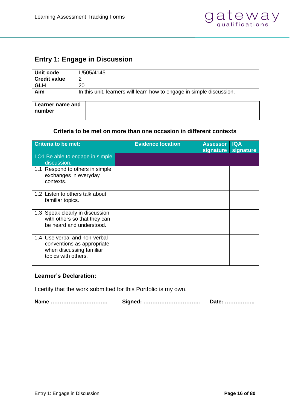# <span id="page-16-0"></span>**Entry 1: Engage in Discussion**

| Unit code           | L/505/4145                                                            |
|---------------------|-----------------------------------------------------------------------|
| <b>Credit value</b> |                                                                       |
| <b>GLH</b>          | 20                                                                    |
| Aim                 | In this unit, learners will learn how to engage in simple discussion. |
|                     |                                                                       |

| Learner name and |  |
|------------------|--|
| number           |  |
|                  |  |

#### **Criteria to be met on more than one occasion in different contexts**

| <b>Criteria to be met:</b>                                                                                     | <b>Evidence location</b> | <b>Assessor</b><br>signature | <b>IQA</b><br>signature |
|----------------------------------------------------------------------------------------------------------------|--------------------------|------------------------------|-------------------------|
| LO1 Be able to engage in simple<br>discussion.                                                                 |                          |                              |                         |
| 1.1 Respond to others in simple<br>exchanges in everyday<br>contexts.                                          |                          |                              |                         |
| 1.2 Listen to others talk about<br>familiar topics.                                                            |                          |                              |                         |
| 1.3 Speak clearly in discussion<br>with others so that they can<br>be heard and understood.                    |                          |                              |                         |
| 1.4 Use verbal and non-verbal<br>conventions as appropriate<br>when discussing familiar<br>topics with others. |                          |                              |                         |

### **Learner's Declaration:**

I certify that the work submitted for this Portfolio is my own.

**Name ………………………….. Signed: ………………………….. Date: ……………..**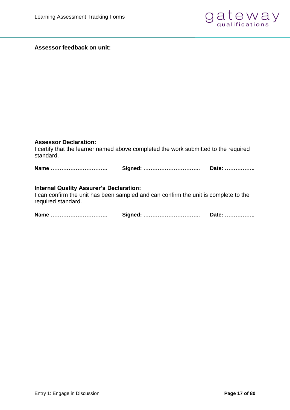

#### **Assessor Declaration:**

I certify that the learner named above completed the work submitted to the required standard.

| Name | Signed: | Date: |
|------|---------|-------|
|      |         |       |

### **Internal Quality Assurer's Declaration:**

| Name | Signed: | Dalt. |
|------|---------|-------|
|      |         |       |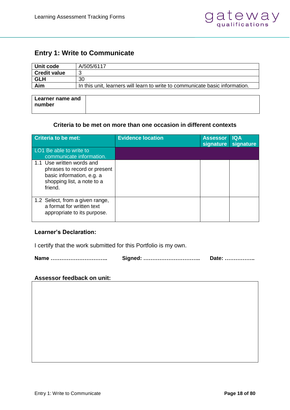

# <span id="page-18-0"></span>**Entry 1: Write to Communicate**

| Unit code           | A/505/6117                                                                   |
|---------------------|------------------------------------------------------------------------------|
| <b>Credit value</b> | n                                                                            |
| <b>GLH</b>          | 30                                                                           |
| Aim                 | In this unit, learners will learn to write to communicate basic information. |
|                     |                                                                              |

| Learner name and |  |
|------------------|--|
| number           |  |
|                  |  |

#### **Criteria to be met on more than one occasion in different contexts**

| <b>Criteria to be met:</b>                                                                                                      | <b>Evidence location</b> | <b>Assessor</b><br>signature | <b>IQA</b><br>signature |
|---------------------------------------------------------------------------------------------------------------------------------|--------------------------|------------------------------|-------------------------|
| LO1 Be able to write to<br>communicate information.                                                                             |                          |                              |                         |
| 1.1 Use written words and<br>phrases to record or present<br>basic information, e.g. a<br>shopping list, a note to a<br>friend. |                          |                              |                         |
| 1.2 Select, from a given range,<br>a format for written text<br>appropriate to its purpose.                                     |                          |                              |                         |

#### **Learner's Declaration:**

I certify that the work submitted for this Portfolio is my own.

| Name |  | ח+פר<br><b>Dalt.</b> |
|------|--|----------------------|
|------|--|----------------------|

### **Assessor feedback on unit:**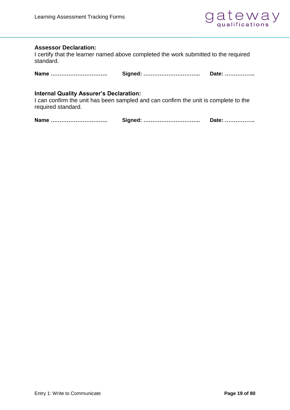

#### **Assessor Declaration:**

I certify that the learner named above completed the work submitted to the required standard.

| Name | Signed: | Pal <del>c. </del> |
|------|---------|--------------------|
|      |         |                    |

#### **Internal Quality Assurer's Declaration:**

| Name |  | Date: |
|------|--|-------|
|------|--|-------|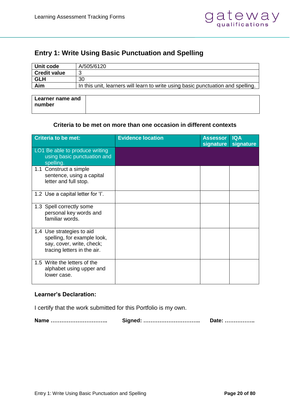

# <span id="page-20-0"></span>**Entry 1: Write Using Basic Punctuation and Spelling**

| Unit code           | A/505/6120                                                                       |
|---------------------|----------------------------------------------------------------------------------|
| <b>Credit value</b> |                                                                                  |
| <b>GLH</b>          | 30                                                                               |
| Aim                 | In this unit, learners will learn to write using basic punctuation and spelling. |
|                     |                                                                                  |

| Learner name and |  |
|------------------|--|
| number           |  |
|                  |  |

#### **Criteria to be met on more than one occasion in different contexts**

| <b>Criteria to be met:</b>                                                                                           | <b>Evidence location</b> | <b>Assessor</b><br>signature | <b>IQA</b><br>signature |
|----------------------------------------------------------------------------------------------------------------------|--------------------------|------------------------------|-------------------------|
| LO1 Be able to produce writing<br>using basic punctuation and<br>spelling.                                           |                          |                              |                         |
| 1.1 Construct a simple<br>sentence, using a capital<br>letter and full stop.                                         |                          |                              |                         |
| 1.2 Use a capital letter for 'I'.                                                                                    |                          |                              |                         |
| 1.3 Spell correctly some<br>personal key words and<br>familiar words.                                                |                          |                              |                         |
| 1.4 Use strategies to aid<br>spelling, for example look,<br>say, cover, write, check;<br>tracing letters in the air. |                          |                              |                         |
| 1.5 Write the letters of the<br>alphabet using upper and<br>lower case.                                              |                          |                              |                         |

#### **Learner's Declaration:**

I certify that the work submitted for this Portfolio is my own.

**Name ………………………….. Signed: ………………………….. Date: ……………..**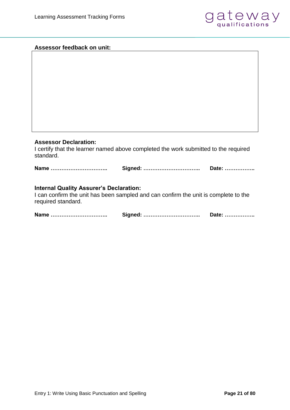

#### **Assessor Declaration:**

I certify that the learner named above completed the work submitted to the required standard.

| Name | Signed: | Date: |
|------|---------|-------|
|      |         |       |

### **Internal Quality Assurer's Declaration:**

| Name | Signed: | Dalt. |
|------|---------|-------|
|      |         |       |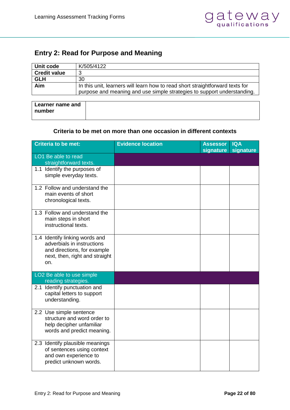# <span id="page-22-0"></span>**Entry 2: Read for Purpose and Meaning**

| Unit code           | K/505/4122                                                                                                                                               |
|---------------------|----------------------------------------------------------------------------------------------------------------------------------------------------------|
| <b>Credit value</b> | ◠                                                                                                                                                        |
| <b>GLH</b>          | 30                                                                                                                                                       |
| Aim                 | In this unit, learners will learn how to read short straightforward texts for<br>purpose and meaning and use simple strategies to support understanding. |

| Learner name and |  |
|------------------|--|
| number           |  |
|                  |  |

### **Criteria to be met on more than one occasion in different contexts**

| <b>Criteria to be met:</b>                                                                                                           | <b>Evidence location</b> | <b>Assessor</b><br>signature | <b>IQA</b><br>signature |
|--------------------------------------------------------------------------------------------------------------------------------------|--------------------------|------------------------------|-------------------------|
| LO1 Be able to read<br>straightforward texts.                                                                                        |                          |                              |                         |
| 1.1 Identify the purposes of<br>simple everyday texts.                                                                               |                          |                              |                         |
| 1.2 Follow and understand the<br>main events of short<br>chronological texts.                                                        |                          |                              |                         |
| 1.3 Follow and understand the<br>main steps in short<br>instructional texts.                                                         |                          |                              |                         |
| 1.4 Identify linking words and<br>adverbials in instructions<br>and directions, for example<br>next, then, right and straight<br>on. |                          |                              |                         |
| LO2 Be able to use simple<br>reading strategies.                                                                                     |                          |                              |                         |
| 2.1 Identify punctuation and<br>capital letters to support<br>understanding.                                                         |                          |                              |                         |
| 2.2 Use simple sentence<br>structure and word order to<br>help decipher unfamiliar<br>words and predict meaning.                     |                          |                              |                         |
| 2.3 Identify plausible meanings<br>of sentences using context<br>and own experience to<br>predict unknown words.                     |                          |                              |                         |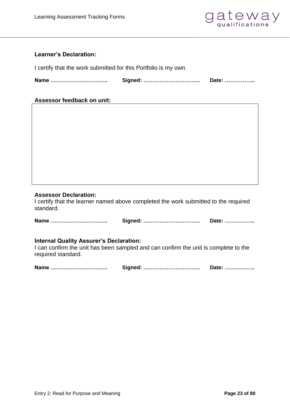

#### **Learner's Declaration:**

I certify that the work submitted for this Portfolio is my own.

| Name | Signed: | Date: |
|------|---------|-------|
|      |         |       |

#### **Assessor feedback on unit:**

#### **Assessor Declaration:**

I certify that the learner named above completed the work submitted to the required standard.

| Name | Signed: | Date: |
|------|---------|-------|
|      |         |       |

#### **Internal Quality Assurer's Declaration:**

| Name<br><b>Pianod</b><br><b>Signed:</b> |  |
|-----------------------------------------|--|
|-----------------------------------------|--|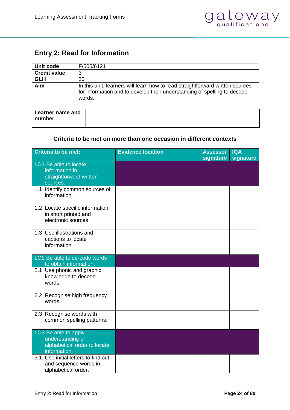

# <span id="page-24-0"></span>**Entry 2: Read for Information**

| Unit code           | F/505/6121                                                                                                                                                          |
|---------------------|---------------------------------------------------------------------------------------------------------------------------------------------------------------------|
| <b>Credit value</b> | ◠                                                                                                                                                                   |
| <b>GLH</b>          | 30                                                                                                                                                                  |
| Aim                 | In this unit, learners will learn how to read straightforward written sources<br>for information and to develop their understanding of spelling to decode<br>words. |

| Learner name and |  |
|------------------|--|
| number           |  |
|                  |  |

#### **Criteria to be met on more than one occasion in different contexts**

| <b>Criteria to be met:</b>                                                               | <b>Evidence location</b> | <b>Assessor</b><br>signature | <b>IQA</b><br>signature |
|------------------------------------------------------------------------------------------|--------------------------|------------------------------|-------------------------|
| LO1 Be able to locate<br>information in<br>straightforward written<br>sources.           |                          |                              |                         |
| 1.1 Identify common sources of<br>information.                                           |                          |                              |                         |
| 1.2 Locate specific information<br>in short printed and<br>electronic sources            |                          |                              |                         |
| 1.3 Use illustrations and<br>captions to locate<br>information.                          |                          |                              |                         |
| LO2 Be able to de-code words<br>to obtain information.                                   |                          |                              |                         |
| 2.1 Use phonic and graphic<br>knowledge to decode<br>words.                              |                          |                              |                         |
| 2.2 Recognise high frequency<br>words.                                                   |                          |                              |                         |
| 2.3 Recognise words with<br>common spelling patterns.                                    |                          |                              |                         |
| LO3 Be able to apply<br>understanding of<br>alphabetical order to locate<br>information. |                          |                              |                         |
| 3.1. Use initial letters to find out<br>and sequence words in<br>alphabetical order.     |                          |                              |                         |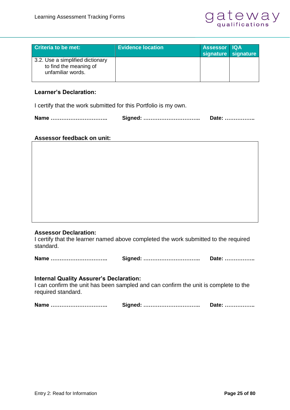

| Criteria to be met:                                                             | <b>Evidence location</b> | <b>Assessor   IQA</b><br>signature signature |  |
|---------------------------------------------------------------------------------|--------------------------|----------------------------------------------|--|
| 3.2. Use a simplified dictionary<br>to find the meaning of<br>unfamiliar words. |                          |                                              |  |

#### **Learner's Declaration:**

I certify that the work submitted for this Portfolio is my own.

| Name | Signed: | Date: |
|------|---------|-------|
|      |         |       |

#### **Assessor feedback on unit:**

#### **Assessor Declaration:**

I certify that the learner named above completed the work submitted to the required standard.

| Name | Signed: | Date: |
|------|---------|-------|
|      |         |       |

#### **Internal Quality Assurer's Declaration:**

| Name |  | Date: |
|------|--|-------|
|------|--|-------|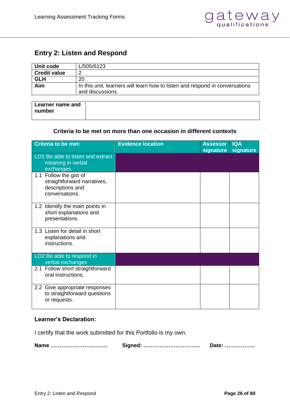

# <span id="page-26-0"></span>**Entry 2: Listen and Respond**

| Unit code           | L/505/6123                                                                                       |
|---------------------|--------------------------------------------------------------------------------------------------|
| <b>Credit value</b> |                                                                                                  |
| <b>GLH</b>          | 20                                                                                               |
| Aim                 | In this unit, learners will learn how to listen and respond in conversations<br>and discussions. |

| Learner name and |  |
|------------------|--|
| number           |  |
|                  |  |

#### **Criteria to be met on more than one occasion in different contexts**

| <b>Criteria to be met:</b>                                                                  | <b>Evidence location</b> | <b>Assessor</b><br>signature | <b>IQA</b><br>signature |
|---------------------------------------------------------------------------------------------|--------------------------|------------------------------|-------------------------|
| LO1 Be able to listen and extract<br>meaning in verbal<br>exchanges.                        |                          |                              |                         |
| 1.1 Follow the gist of<br>straightforward narratives,<br>descriptions and<br>conversations. |                          |                              |                         |
| 1.2 Identify the main points in<br>short explanations and<br>presentations.                 |                          |                              |                         |
| 1.3 Listen for detail in short<br>explanations and<br>instructions.                         |                          |                              |                         |
| LO2 Be able to respond in<br>verbal exchanges                                               |                          |                              |                         |
| 2.1 Follow short straightforward<br>oral instructions.                                      |                          |                              |                         |
| 2.2 Give appropriate responses<br>to straightforward questions<br>or requests.              |                          |                              |                         |

### **Learner's Declaration:**

I certify that the work submitted for this Portfolio is my own.

| Name |  | <b>Doto:</b><br><b>Dalt.</b> |
|------|--|------------------------------|
|------|--|------------------------------|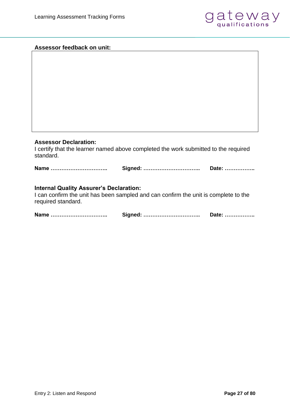

#### **Assessor Declaration:**

I certify that the learner named above completed the work submitted to the required standard.

| Name | Signed: | Date: |
|------|---------|-------|
|      |         |       |

### **Internal Quality Assurer's Declaration:**

| Name | Signed: | Dalt. |
|------|---------|-------|
|      |         |       |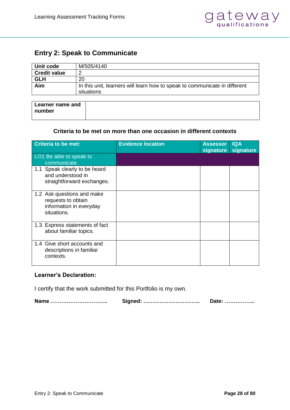

# <span id="page-28-0"></span>**Entry 2: Speak to Communicate**

| Unit code           | M/505/4140                                                                               |
|---------------------|------------------------------------------------------------------------------------------|
| <b>Credit value</b> |                                                                                          |
| <b>GLH</b>          | 20                                                                                       |
| Aim                 | In this unit, learners will learn how to speak to communicate in different<br>situations |

| Learner name and |  |
|------------------|--|
| number           |  |
|                  |  |

#### **Criteria to be met on more than one occasion in different contexts**

| <b>Criteria to be met:</b>                                                                 | <b>Evidence location</b> | <b>Assessor</b><br>signature | <b>IQA</b><br>signature |
|--------------------------------------------------------------------------------------------|--------------------------|------------------------------|-------------------------|
| LO1 Be able to speak to<br>communicate.                                                    |                          |                              |                         |
| 1.1 Speak clearly to be heard<br>and understood in<br>straightforward exchanges.           |                          |                              |                         |
| 1.2 Ask questions and make<br>requests to obtain<br>information in everyday<br>situations. |                          |                              |                         |
| 1.3 Express statements of fact<br>about familiar topics.                                   |                          |                              |                         |
| 1.4 Give short accounts and<br>descriptions in familiar<br>contexts.                       |                          |                              |                         |

#### **Learner's Declaration:**

I certify that the work submitted for this Portfolio is my own.

**Name ………………………….. Signed: ………………………….. Date: ……………..**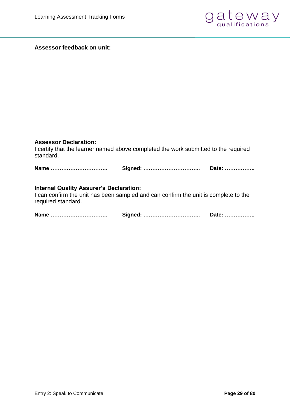

#### **Assessor Declaration:**

I certify that the learner named above completed the work submitted to the required standard.

| Name | Signed: | Date: |
|------|---------|-------|
|      |         |       |

### **Internal Quality Assurer's Declaration:**

| Name | Signed: | Dalt. |
|------|---------|-------|
|      |         |       |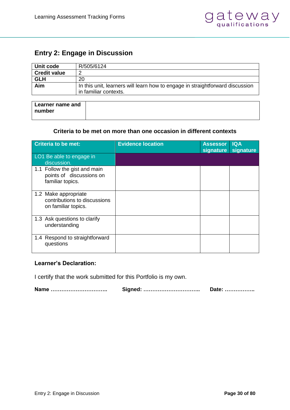

# <span id="page-30-0"></span>**Entry 2: Engage in Discussion**

| In this unit, learners will learn how to engage in straightforward discussion |
|-------------------------------------------------------------------------------|
|                                                                               |

| Learner name and |  |
|------------------|--|
| number           |  |
|                  |  |

#### **Criteria to be met on more than one occasion in different contexts**

| <b>Criteria to be met:</b>                                                   | <b>Evidence location</b> | <b>Assessor</b><br>signature | <b>IQA</b><br>signature |
|------------------------------------------------------------------------------|--------------------------|------------------------------|-------------------------|
| LO1 Be able to engage in<br>discussion.                                      |                          |                              |                         |
| 1.1 Follow the gist and main<br>points of discussions on<br>familiar topics. |                          |                              |                         |
| 1.2 Make appropriate<br>contributions to discussions<br>on familiar topics.  |                          |                              |                         |
| 1.3 Ask questions to clarify<br>understanding                                |                          |                              |                         |
| 1.4 Respond to straightforward<br>questions                                  |                          |                              |                         |

#### **Learner's Declaration:**

I certify that the work submitted for this Portfolio is my own.

| Name |  | - ה+הר<br><b>Dalt.</b> |
|------|--|------------------------|
|------|--|------------------------|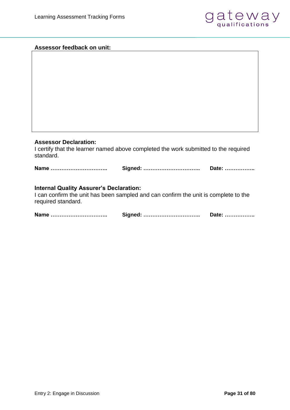

#### **Assessor Declaration:**

I certify that the learner named above completed the work submitted to the required standard.

| Name | Signed: | Date: |
|------|---------|-------|
|      |         |       |

### **Internal Quality Assurer's Declaration:**

| Name | Signed: | Dalt. |
|------|---------|-------|
|      |         |       |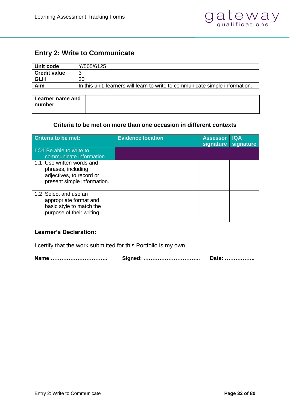

# <span id="page-32-0"></span>**Entry 2: Write to Communicate**

| Unit code           | Y/505/6125                                                                    |
|---------------------|-------------------------------------------------------------------------------|
| <b>Credit value</b> |                                                                               |
| <b>GLH</b>          | 30                                                                            |
| Aim                 | In this unit, learners will learn to write to communicate simple information. |
|                     |                                                                               |

| Learner name and |  |
|------------------|--|
| number           |  |
|                  |  |

#### **Criteria to be met on more than one occasion in different contexts**

| <b>Criteria to be met:</b>                                                                                 | <b>Evidence location</b> | <b>Assessor</b><br>signature | <b>IQA</b><br>signature |
|------------------------------------------------------------------------------------------------------------|--------------------------|------------------------------|-------------------------|
| LO1 Be able to write to<br>communicate information.                                                        |                          |                              |                         |
| 1.1 Use written words and<br>phrases, including<br>adjectives, to record or<br>present simple information. |                          |                              |                         |
| 1.2 Select and use an<br>appropriate format and<br>basic style to match the<br>purpose of their writing.   |                          |                              |                         |

#### **Learner's Declaration:**

I certify that the work submitted for this Portfolio is my own.

| Name |  | Date: |
|------|--|-------|
|------|--|-------|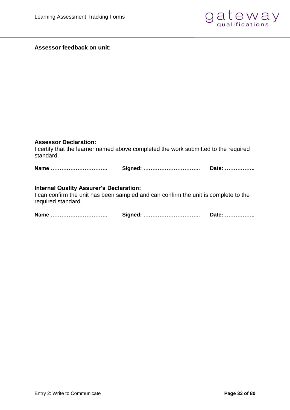

#### **Assessor Declaration:**

I certify that the learner named above completed the work submitted to the required standard.

| Name | Signed: | Date: |
|------|---------|-------|
|      |         |       |

### **Internal Quality Assurer's Declaration:**

| Name | Signed: | Dalt. |
|------|---------|-------|
|      |         |       |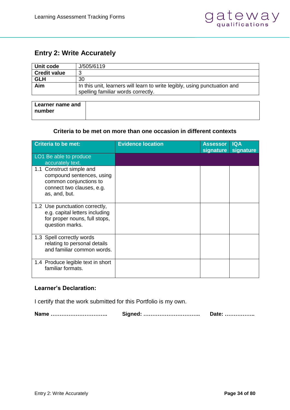

# <span id="page-34-0"></span>**Entry 2: Write Accurately**

| Unit code           | J/505/6119                                                                                                      |
|---------------------|-----------------------------------------------------------------------------------------------------------------|
| <b>Credit value</b> |                                                                                                                 |
| <b>GLH</b>          | 30                                                                                                              |
| Aim                 | In this unit, learners will learn to write legibly, using punctuation and<br>spelling familiar words correctly. |
|                     |                                                                                                                 |

| Learner name and |  |
|------------------|--|
| number           |  |
|                  |  |

#### **Criteria to be met on more than one occasion in different contexts**

| <b>Criteria to be met:</b>                                                                                                    | <b>Evidence location</b> | <b>Assessor</b><br>signature | <b>IQA</b><br>signature |
|-------------------------------------------------------------------------------------------------------------------------------|--------------------------|------------------------------|-------------------------|
| LO1 Be able to produce<br>accurately text.                                                                                    |                          |                              |                         |
| 1.1 Construct simple and<br>compound sentences, using<br>common conjunctions to<br>connect two clauses, e.g.<br>as, and, but. |                          |                              |                         |
| 1.2 Use punctuation correctly,<br>e.g. capital letters including<br>for proper nouns, full stops,<br>question marks.          |                          |                              |                         |
| 1.3 Spell correctly words<br>relating to personal details<br>and familiar common words.                                       |                          |                              |                         |
| 1.4 Produce legible text in short<br>familiar formats.                                                                        |                          |                              |                         |

#### **Learner's Declaration:**

I certify that the work submitted for this Portfolio is my own.

| Name | Signed: | ∟Al <del>c</del> . |
|------|---------|--------------------|
|      |         |                    |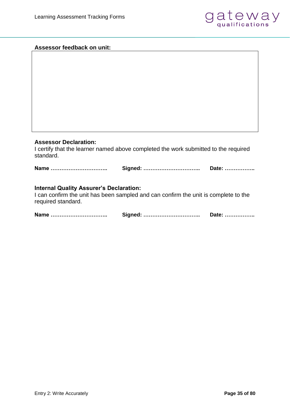

#### **Assessor Declaration:**

I certify that the learner named above completed the work submitted to the required standard.

| Name | Signed: | Date: |
|------|---------|-------|
|      |         |       |

### **Internal Quality Assurer's Declaration:**

| Name | Signed: | Dalt. |
|------|---------|-------|
|      |         |       |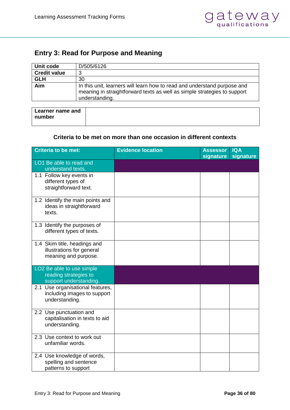# **Entry 3: Read for Purpose and Meaning**

| Unit code           | D/505/6126                                                                                                                                                             |
|---------------------|------------------------------------------------------------------------------------------------------------------------------------------------------------------------|
| <b>Credit value</b> |                                                                                                                                                                        |
| <b>GLH</b>          | 30                                                                                                                                                                     |
| Aim                 | In this unit, learners will learn how to read and understand purpose and<br>meaning in straightforward texts as well as simple strategies to support<br>understanding. |

| Learner name and |  |
|------------------|--|
| ∣ number         |  |
|                  |  |

| <b>Criteria to be met:</b>                                                        | <b>Evidence location</b> | <b>Assessor</b> | <b>IQA</b> |
|-----------------------------------------------------------------------------------|--------------------------|-----------------|------------|
|                                                                                   |                          | signature       | signature  |
| LO1 Be able to read and<br>understand texts.                                      |                          |                 |            |
| 1.1 Follow key events in<br>different types of<br>straightforward text.           |                          |                 |            |
| 1.2 Identify the main points and<br>ideas in straightforward<br>texts.            |                          |                 |            |
| 1.3 Identify the purposes of<br>different types of texts.                         |                          |                 |            |
| 1.4 Skim title, headings and<br>illustrations for general<br>meaning and purpose. |                          |                 |            |
| LO2 Be able to use simple                                                         |                          |                 |            |
| reading strategies to                                                             |                          |                 |            |
| support understanding.<br>2.1 Use organisational features,                        |                          |                 |            |
| including images to support<br>understanding.                                     |                          |                 |            |
| 2.2 Use punctuation and<br>capitalisation in texts to aid<br>understanding.       |                          |                 |            |
| 2.3 Use context to work out<br>unfamiliar words.                                  |                          |                 |            |
| 2.4 Use knowledge of words,<br>spelling and sentence<br>patterns to support       |                          |                 |            |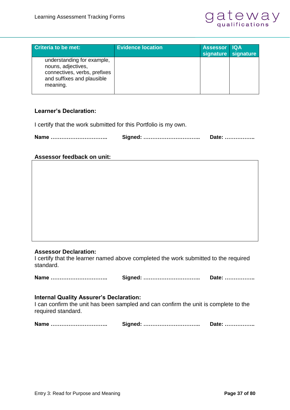

| <b>Criteria to be met:</b>                                                                                                 | <b>Evidence location</b> | <b>Assessor</b><br>signature | <b>IQA</b><br>signature |
|----------------------------------------------------------------------------------------------------------------------------|--------------------------|------------------------------|-------------------------|
| understanding for example,<br>nouns, adjectives,<br>connectives, verbs, prefixes<br>and suffixes and plausible<br>meaning. |                          |                              |                         |

I certify that the work submitted for this Portfolio is my own.

| Name | Date: |
|------|-------|
|      |       |

#### **Assessor feedback on unit:**

#### **Assessor Declaration:**

I certify that the learner named above completed the work submitted to the required standard.

**Name ………………………….. Signed: ………………………….. Date: ……………..**

#### **Internal Quality Assurer's Declaration:**

| Name |  | Dalt. |
|------|--|-------|
|------|--|-------|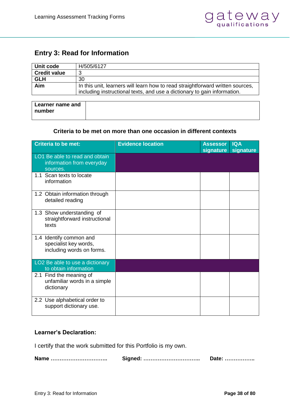

# **Entry 3: Read for Information**

| Unit code           | H/505/6127                                                                                                                                                 |
|---------------------|------------------------------------------------------------------------------------------------------------------------------------------------------------|
| <b>Credit value</b> |                                                                                                                                                            |
| <b>GLH</b>          | 30                                                                                                                                                         |
| Aim                 | In this unit, learners will learn how to read straightforward written sources,<br>including instructional texts, and use a dictionary to gain information. |

| Learner name and |  |
|------------------|--|
| ∣ number         |  |
|                  |  |

#### **Criteria to be met on more than one occasion in different contexts**

| <b>Criteria to be met:</b>                                                    | <b>Evidence location</b> | <b>Assessor</b><br>signature | <b>IQA</b><br>signature |
|-------------------------------------------------------------------------------|--------------------------|------------------------------|-------------------------|
| LO1 Be able to read and obtain<br>information from everyday<br>sources.       |                          |                              |                         |
| 1.1 Scan texts to locate<br>information                                       |                          |                              |                         |
| 1.2 Obtain information through<br>detailed reading                            |                          |                              |                         |
| 1.3 Show understanding of<br>straightforward instructional<br>texts           |                          |                              |                         |
| 1.4 Identify common and<br>specialist key words,<br>including words on forms. |                          |                              |                         |
| LO2 Be able to use a dictionary<br>to obtain information                      |                          |                              |                         |
| 2.1 Find the meaning of<br>unfamiliar words in a simple<br>dictionary         |                          |                              |                         |
| 2.2 Use alphabetical order to<br>support dictionary use.                      |                          |                              |                         |

#### **Learner's Declaration:**

I certify that the work submitted for this Portfolio is my own.

| Name |  | ה+הר<br><b>Dalt.</b> |
|------|--|----------------------|
|------|--|----------------------|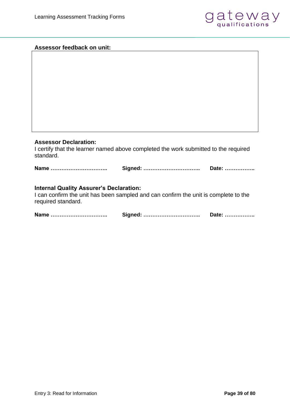

#### **Assessor Declaration:**

I certify that the learner named above completed the work submitted to the required standard.

| Name | Date: |
|------|-------|
|      |       |

## **Internal Quality Assurer's Declaration:**

| Name | Signed: | Dalt. |
|------|---------|-------|
|      |         |       |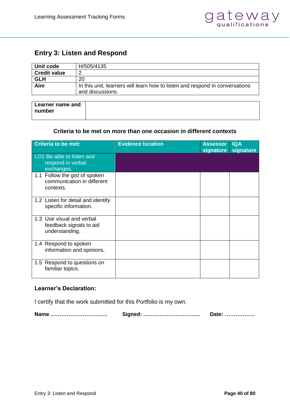

# **Entry 3: Listen and Respond**

| Unit code           | H/505/4135                                                                                       |
|---------------------|--------------------------------------------------------------------------------------------------|
| <b>Credit value</b> |                                                                                                  |
| <b>GLH</b>          | 20                                                                                               |
| Aim                 | In this unit, learners will learn how to listen and respond in conversations<br>and discussions. |

| Learner name and |  |
|------------------|--|
| ∣ number         |  |
|                  |  |

### **Criteria to be met on more than one occasion in different contexts**

| <b>Criteria to be met:</b>                                               | <b>Evidence location</b> | <b>Assessor</b><br>signature | <b>IQA</b><br>signature |
|--------------------------------------------------------------------------|--------------------------|------------------------------|-------------------------|
| LO1 Be able to listen and<br>respond in verbal<br>exchanges.             |                          |                              |                         |
| 1.1 Follow the gist of spoken<br>communication in different<br>contexts. |                          |                              |                         |
| 1.2 Listen for detail and identify<br>specific information.              |                          |                              |                         |
| 1.3 Use visual and verbal<br>feedback signals to aid<br>understanding.   |                          |                              |                         |
| 1.4 Respond to spoken<br>information and opinions.                       |                          |                              |                         |
| 1.5 Respond to questions on<br>familiar topics.                          |                          |                              |                         |

### **Learner's Declaration:**

I certify that the work submitted for this Portfolio is my own.

| Name | i<br><b>Signed:</b> | Dalt. |
|------|---------------------|-------|
|      |                     |       |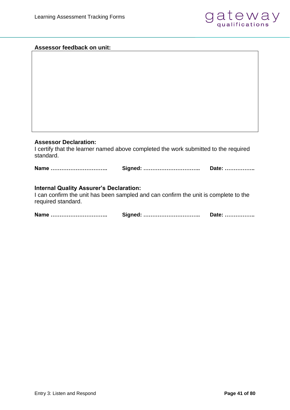

#### **Assessor Declaration:**

I certify that the learner named above completed the work submitted to the required standard.

| Name | Date: |
|------|-------|
|      |       |

## **Internal Quality Assurer's Declaration:**

| Name | Signed: | Dalt. |
|------|---------|-------|
|      |         |       |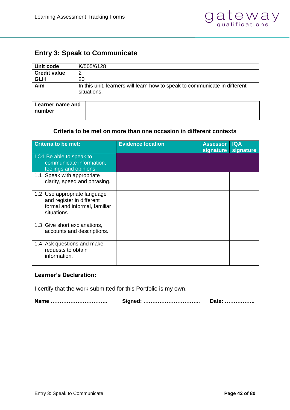

# **Entry 3: Speak to Communicate**

| Unit code           | K/505/6128                                                                                |
|---------------------|-------------------------------------------------------------------------------------------|
| <b>Credit value</b> |                                                                                           |
| <b>GLH</b>          | 20                                                                                        |
| Aim                 | In this unit, learners will learn how to speak to communicate in different<br>situations. |

| Learner name and |  |
|------------------|--|
| number           |  |
|                  |  |

### **Criteria to be met on more than one occasion in different contexts**

| <b>Criteria to be met:</b>                                                                                | <b>Evidence location</b> | <b>Assessor</b><br>signature | <b>IQA</b><br>signature |
|-----------------------------------------------------------------------------------------------------------|--------------------------|------------------------------|-------------------------|
| LO1 Be able to speak to<br>communicate information,<br>feelings and opinions.                             |                          |                              |                         |
| 1.1 Speak with appropriate<br>clarity, speed and phrasing.                                                |                          |                              |                         |
| 1.2 Use appropriate language<br>and register in different<br>formal and informal, familiar<br>situations. |                          |                              |                         |
| 1.3 Give short explanations,<br>accounts and descriptions.                                                |                          |                              |                         |
| 1.4 Ask questions and make<br>requests to obtain<br>information.                                          |                          |                              |                         |

#### **Learner's Declaration:**

I certify that the work submitted for this Portfolio is my own.

**Name ………………………….. Signed: ………………………….. Date: ……………..**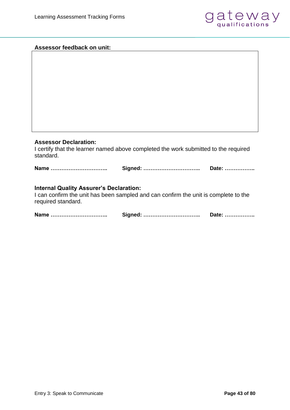

#### **Assessor Declaration:**

I certify that the learner named above completed the work submitted to the required standard.

| Name | Date: |
|------|-------|
|      |       |

## **Internal Quality Assurer's Declaration:**

| Name | Signed: | Dalt. |
|------|---------|-------|
|      |         |       |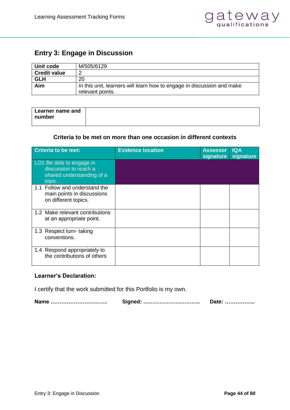

# **Entry 3: Engage in Discussion**

| Unit code           | M/505/6129                                                                                 |
|---------------------|--------------------------------------------------------------------------------------------|
| <b>Credit value</b> |                                                                                            |
| <b>GLH</b>          | 20                                                                                         |
| Aim                 | In this unit, learners will learn how to engage in discussion and make<br>relevant points. |

| I Learner name and |  |
|--------------------|--|
| number             |  |
|                    |  |

#### **Criteria to be met on more than one occasion in different contexts**

| <b>Criteria to be met:</b>                                                               | <b>Evidence location</b> | <b>Assessor</b><br>signature | <b>IQA</b><br>signature |
|------------------------------------------------------------------------------------------|--------------------------|------------------------------|-------------------------|
| LO1 Be able to engage in<br>discussion to reach a<br>shared understanding of a<br>topic. |                          |                              |                         |
| 1.1 Follow and understand the<br>main points in discussions<br>on different topics.      |                          |                              |                         |
| 1.2 Make relevant contributions<br>at an appropriate point.                              |                          |                              |                         |
| 1.3 Respect turn-taking<br>conventions.                                                  |                          |                              |                         |
| 1.4 Respond appropriately to<br>the contributions of others                              |                          |                              |                         |

### **Learner's Declaration:**

I certify that the work submitted for this Portfolio is my own.

**Name ………………………….. Signed: ………………………….. Date: ……………..**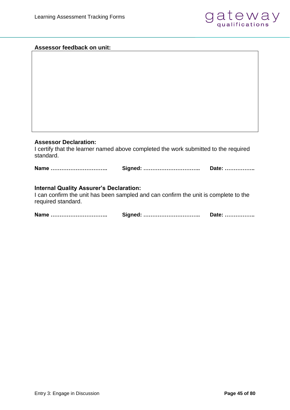

#### **Assessor Declaration:**

I certify that the learner named above completed the work submitted to the required standard.

| Name | Date: |
|------|-------|
|      |       |

## **Internal Quality Assurer's Declaration:**

| Name | Signed: | Dalt. |
|------|---------|-------|
|      |         |       |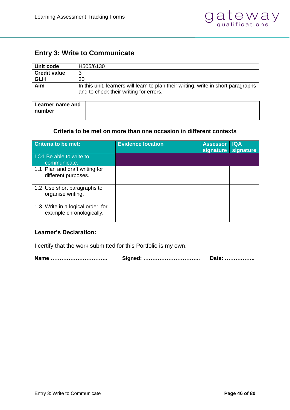

# **Entry 3: Write to Communicate**

| Unit code           | H505/6130                                                                                                                    |
|---------------------|------------------------------------------------------------------------------------------------------------------------------|
| <b>Credit value</b> |                                                                                                                              |
| <b>GLH</b>          | 30                                                                                                                           |
| Aim                 | In this unit, learners will learn to plan their writing, write in short paragraphs<br>and to check their writing for errors. |

| Learner name and |  |
|------------------|--|
| number           |  |
|                  |  |

### **Criteria to be met on more than one occasion in different contexts**

| Criteria to be met:                                           | <b>Evidence location</b> | <b>Assessor</b><br>signature | <b>IQA</b><br>signature |
|---------------------------------------------------------------|--------------------------|------------------------------|-------------------------|
| LO1 Be able to write to<br>communicate.                       |                          |                              |                         |
| 1.1 Plan and draft writing for<br>different purposes.         |                          |                              |                         |
| 1.2 Use short paragraphs to<br>organise writing.              |                          |                              |                         |
| 1.3 Write in a logical order, for<br>example chronologically. |                          |                              |                         |

### **Learner's Declaration:**

I certify that the work submitted for this Portfolio is my own.

| Name |  | Date: |
|------|--|-------|
|------|--|-------|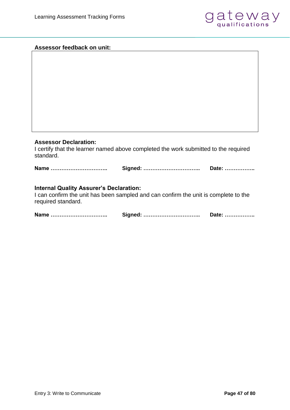

#### **Assessor Declaration:**

I certify that the learner named above completed the work submitted to the required standard.

| Name | Date: |
|------|-------|
|      |       |

## **Internal Quality Assurer's Declaration:**

| Name | Signed: | Dalt. |
|------|---------|-------|
|      |         |       |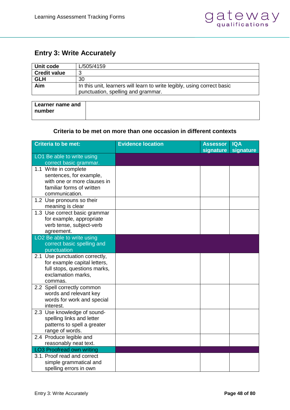# **Entry 3: Write Accurately**

| Unit code           | L/505/4159                                                                                                    |
|---------------------|---------------------------------------------------------------------------------------------------------------|
| <b>Credit value</b> |                                                                                                               |
| <b>GLH</b>          | 30                                                                                                            |
| Aim                 | In this unit, learners will learn to write legibly, using correct basic<br>punctuation, spelling and grammar. |

| Learner name and |  |
|------------------|--|
| number           |  |
|                  |  |

| <b>Criteria to be met:</b>                                                                                                      | <b>Evidence location</b> | <b>Assessor</b><br>signature | <b>IQA</b><br>signature |
|---------------------------------------------------------------------------------------------------------------------------------|--------------------------|------------------------------|-------------------------|
| LO1 Be able to write using<br>correct basic grammar.                                                                            |                          |                              |                         |
| 1.1 Write in complete<br>sentences, for example,<br>with one or more clauses in<br>familiar forms of written<br>communication.  |                          |                              |                         |
| 1.2 Use pronouns so their<br>meaning is clear                                                                                   |                          |                              |                         |
| 1.3 Use correct basic grammar<br>for example, appropriate<br>verb tense, subject-verb<br>agreement.                             |                          |                              |                         |
| LO2 Be able to write using<br>correct basic spelling and<br>punctuation                                                         |                          |                              |                         |
| 2.1 Use punctuation correctly,<br>for example capital letters,<br>full stops, questions marks,<br>exclamation marks,<br>commas. |                          |                              |                         |
| 2.2 Spell correctly common<br>words and relevant key<br>words for work and special<br>interest.                                 |                          |                              |                         |
| 2.3 Use knowledge of sound-<br>spelling links and letter<br>patterns to spell a greater<br>range of words.                      |                          |                              |                         |
| 2.4 Produce legible and<br>reasonably neat text.                                                                                |                          |                              |                         |
| LO3 Proofread own writing                                                                                                       |                          |                              |                         |
| 3.1. Proof read and correct<br>simple grammatical and<br>spelling errors in own                                                 |                          |                              |                         |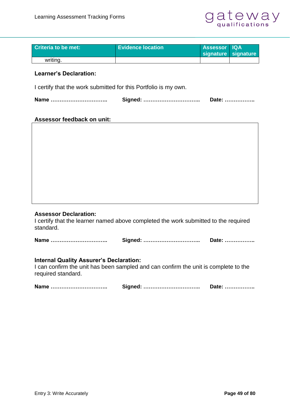

| Criteria to be met:                                             | <b>Evidence location</b> | <b>Assessor IQA</b> | signature signature |
|-----------------------------------------------------------------|--------------------------|---------------------|---------------------|
| writing.                                                        |                          |                     |                     |
| <b>Learner's Declaration:</b>                                   |                          |                     |                     |
| I certify that the work submitted for this Portfolio is my own. |                          |                     |                     |

| Name |  | Dal <del>e, mendere p</del> |
|------|--|-----------------------------|
|------|--|-----------------------------|



#### **Assessor Declaration:**

I certify that the learner named above completed the work submitted to the required standard.

**Name ………………………….. Signed: ………………………….. Date: ……………..**

#### **Internal Quality Assurer's Declaration:**

| Name | Signed: | Palt. |
|------|---------|-------|
|      |         |       |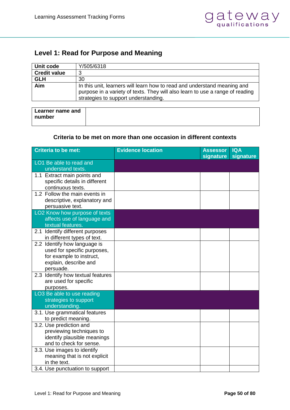# **Level 1: Read for Purpose and Meaning**

| Unit code           | Y/505/6318                                                                                                                                                                                        |
|---------------------|---------------------------------------------------------------------------------------------------------------------------------------------------------------------------------------------------|
| <b>Credit value</b> |                                                                                                                                                                                                   |
| <b>GLH</b>          | 30                                                                                                                                                                                                |
| Aim                 | In this unit, learners will learn how to read and understand meaning and<br>purpose in a variety of texts. They will also learn to use a range of reading<br>strategies to support understanding. |

| Learner name and |  |
|------------------|--|
| number           |  |
|                  |  |

| <b>Criteria to be met:</b>              | <b>Evidence location</b> | <b>Assessor</b> | <b>IQA</b> |
|-----------------------------------------|--------------------------|-----------------|------------|
|                                         |                          | signature       | signature  |
| LO1 Be able to read and                 |                          |                 |            |
| understand texts.                       |                          |                 |            |
| 1.1 Extract main points and             |                          |                 |            |
| specific details in different           |                          |                 |            |
| continuous texts.                       |                          |                 |            |
| 1.2 Follow the main events in           |                          |                 |            |
| descriptive, explanatory and            |                          |                 |            |
| persuasive text.                        |                          |                 |            |
| LO2 Know how purpose of texts           |                          |                 |            |
| affects use of language and             |                          |                 |            |
| textual features.                       |                          |                 |            |
| 2.1 Identify different purposes         |                          |                 |            |
| in different types of text.             |                          |                 |            |
| 2.2 Identify how language is            |                          |                 |            |
| used for specific purposes,             |                          |                 |            |
| for example to instruct,                |                          |                 |            |
| explain, describe and                   |                          |                 |            |
| persuade.                               |                          |                 |            |
| 2.3 Identify how textual features       |                          |                 |            |
| are used for specific                   |                          |                 |            |
| purposes.<br>LO3 Be able to use reading |                          |                 |            |
| strategies to support                   |                          |                 |            |
| understanding.                          |                          |                 |            |
| 3.1. Use grammatical features           |                          |                 |            |
| to predict meaning.                     |                          |                 |            |
| 3.2. Use prediction and                 |                          |                 |            |
| previewing techniques to                |                          |                 |            |
| identify plausible meanings             |                          |                 |            |
| and to check for sense.                 |                          |                 |            |
| 3.3. Use images to identify             |                          |                 |            |
| meaning that is not explicit            |                          |                 |            |
| in the text.                            |                          |                 |            |
| 3.4. Use punctuation to support         |                          |                 |            |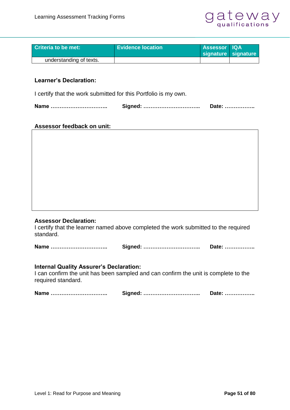

| Criteria to be met:     | <b>Evidence location</b> | <b>Assessor IQA</b><br>signature signature |  |
|-------------------------|--------------------------|--------------------------------------------|--|
| understanding of texts. |                          |                                            |  |
|                         |                          |                                            |  |

I certify that the work submitted for this Portfolio is my own.

| Name |  | Date: |
|------|--|-------|
|------|--|-------|

### **Assessor feedback on unit:**

#### **Assessor Declaration:**

I certify that the learner named above completed the work submitted to the required standard.

| Name |  | Palt. |
|------|--|-------|
|------|--|-------|

#### **Internal Quality Assurer's Declaration:**

| Name | Dalt. |
|------|-------|
|      |       |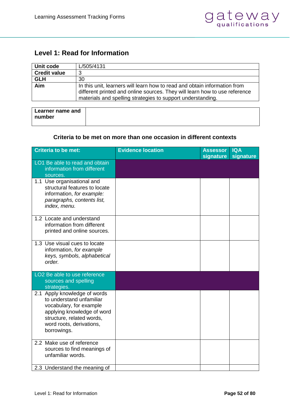

# **Level 1: Read for Information**

| Unit code           | L/505/4131                                                                                                                                                                                                             |
|---------------------|------------------------------------------------------------------------------------------------------------------------------------------------------------------------------------------------------------------------|
| <b>Credit value</b> |                                                                                                                                                                                                                        |
| <b>GLH</b>          | 30                                                                                                                                                                                                                     |
| Aim                 | In this unit, learners will learn how to read and obtain information from<br>different printed and online sources. They will learn how to use reference<br>materials and spelling strategies to support understanding. |

| Learner name and |  |
|------------------|--|
| number           |  |
|                  |  |

| <b>Criteria to be met:</b>                                                                                                                                                                | <b>Evidence location</b> | <b>Assessor</b><br>signature | <b>IQA</b><br>signature |
|-------------------------------------------------------------------------------------------------------------------------------------------------------------------------------------------|--------------------------|------------------------------|-------------------------|
| LO1 Be able to read and obtain<br>information from different<br>sources.                                                                                                                  |                          |                              |                         |
| 1.1 Use organisational and<br>structural features to locate<br>information, for example:<br>paragraphs, contents list,<br>index, menu.                                                    |                          |                              |                         |
| 1.2 Locate and understand<br>information from different<br>printed and online sources.                                                                                                    |                          |                              |                         |
| 1.3 Use visual cues to locate<br>information, for example<br>keys, symbols, alphabetical<br>order.                                                                                        |                          |                              |                         |
| LO2 Be able to use reference<br>sources and spelling<br>strategies.                                                                                                                       |                          |                              |                         |
| 2.1 Apply knowledge of words<br>to understand unfamiliar<br>vocabulary, for example<br>applying knowledge of word<br>structure, related words,<br>word roots, derivations,<br>borrowings. |                          |                              |                         |
| 2.2 Make use of reference<br>sources to find meanings of<br>unfamiliar words.                                                                                                             |                          |                              |                         |
| 2.3 Understand the meaning of                                                                                                                                                             |                          |                              |                         |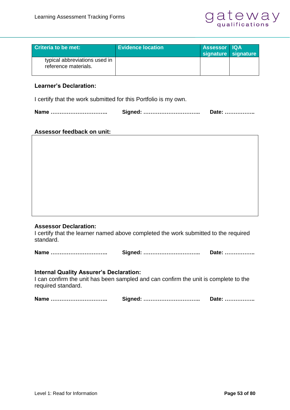

| Criteria to be met:                                   | <b>Evidence location</b> | <b>Assessor IQA</b><br>signature signature |  |
|-------------------------------------------------------|--------------------------|--------------------------------------------|--|
| typical abbreviations used in<br>reference materials. |                          |                                            |  |

I certify that the work submitted for this Portfolio is my own.

| Name |  | Date: |
|------|--|-------|
|------|--|-------|

| Assessor feedback on unit: |  |  |
|----------------------------|--|--|
|                            |  |  |
|                            |  |  |
|                            |  |  |
|                            |  |  |
|                            |  |  |
|                            |  |  |
|                            |  |  |
|                            |  |  |
|                            |  |  |

#### **Assessor Declaration:**

I certify that the learner named above completed the work submitted to the required standard.

| Name | Signed: | $. - + -$<br>$PQUQU$ , |
|------|---------|------------------------|
|      |         |                        |

#### **Internal Quality Assurer's Declaration:**

| Name |  | Date: |
|------|--|-------|
|------|--|-------|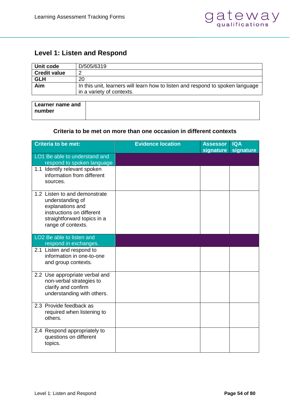

# **Level 1: Listen and Respond**

| Unit code           | D/505/6319                                                                                                  |
|---------------------|-------------------------------------------------------------------------------------------------------------|
| <b>Credit value</b> |                                                                                                             |
| <b>GLH</b>          | 20                                                                                                          |
| Aim                 | In this unit, learners will learn how to listen and respond to spoken language<br>in a variety of contexts. |

| Learner name and |  |
|------------------|--|
| ∣ number         |  |
|                  |  |

| <b>Criteria to be met:</b>                                                                                                                              | <b>Evidence location</b> | <b>Assessor</b><br>signature | <b>IQA</b><br>signature |
|---------------------------------------------------------------------------------------------------------------------------------------------------------|--------------------------|------------------------------|-------------------------|
| LO1 Be able to understand and<br>respond to spoken language                                                                                             |                          |                              |                         |
| 1.1 Identify relevant spoken<br>information from different<br>sources.                                                                                  |                          |                              |                         |
| 1.2 Listen to and demonstrate<br>understanding of<br>explanations and<br>instructions on different<br>straightforward topics in a<br>range of contexts. |                          |                              |                         |
| LO2 Be able to listen and<br>respond in exchanges.                                                                                                      |                          |                              |                         |
| 2.1 Listen and respond to<br>information in one-to-one<br>and group contexts.                                                                           |                          |                              |                         |
| 2.2 Use appropriate verbal and<br>non-verbal strategies to<br>clarify and confirm<br>understanding with others.                                         |                          |                              |                         |
| 2.3 Provide feedback as<br>required when listening to<br>others.                                                                                        |                          |                              |                         |
| 2.4 Respond appropriately to<br>questions on different<br>topics.                                                                                       |                          |                              |                         |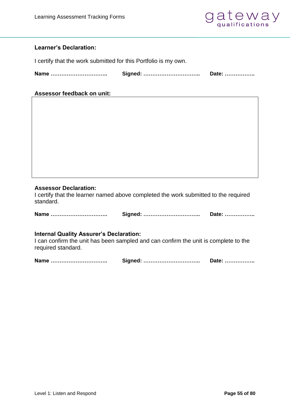

I certify that the work submitted for this Portfolio is my own.

| Name | Date: |
|------|-------|
|      |       |

#### **Assessor feedback on unit:**

#### **Assessor Declaration:**

I certify that the learner named above completed the work submitted to the required standard.

| Name | Date: |
|------|-------|
|      |       |

#### **Internal Quality Assurer's Declaration:**

| Name<br><b>Pianod</b><br><b>Signed:</b> |  |
|-----------------------------------------|--|
|-----------------------------------------|--|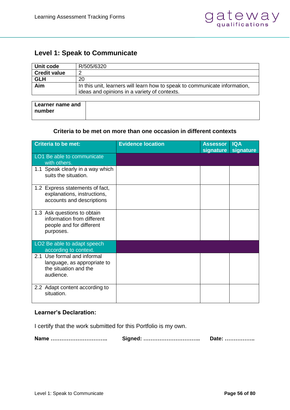

# **Level 1: Speak to Communicate**

| Unit code           | R/505/6320                                                                                                                 |
|---------------------|----------------------------------------------------------------------------------------------------------------------------|
| <b>Credit value</b> |                                                                                                                            |
| <b>GLH</b>          | 20                                                                                                                         |
| Aim                 | In this unit, learners will learn how to speak to communicate information,<br>ideas and opinions in a variety of contexts. |
|                     |                                                                                                                            |

| Learner name and |  |
|------------------|--|
| number           |  |
|                  |  |

#### **Criteria to be met on more than one occasion in different contexts**

| <b>Criteria to be met:</b>                                                                         | <b>Evidence location</b> | <b>Assessor</b><br>signature | <b>IQA</b><br>signature |
|----------------------------------------------------------------------------------------------------|--------------------------|------------------------------|-------------------------|
| LO1 Be able to communicate<br>with others.                                                         |                          |                              |                         |
| 1.1 Speak clearly in a way which<br>suits the situation.                                           |                          |                              |                         |
| 1.2 Express statements of fact,<br>explanations, instructions,<br>accounts and descriptions        |                          |                              |                         |
| 1.3 Ask questions to obtain<br>information from different<br>people and for different<br>purposes. |                          |                              |                         |
| LO2 Be able to adapt speech<br>according to context.                                               |                          |                              |                         |
| 2.1 Use formal and informal<br>language, as appropriate to<br>the situation and the<br>audience.   |                          |                              |                         |
| 2.2 Adapt content according to<br>situation.                                                       |                          |                              |                         |

## **Learner's Declaration:**

I certify that the work submitted for this Portfolio is my own.

| Name | Signed: | $P_{\alpha}$ |
|------|---------|--------------|
|------|---------|--------------|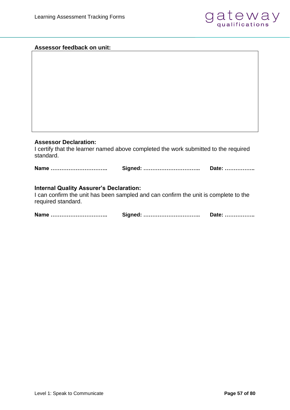

#### **Assessor Declaration:**

I certify that the learner named above completed the work submitted to the required standard.

| Name | Date: |
|------|-------|
|      |       |

## **Internal Quality Assurer's Declaration:**

| Name | Signed: | Dalt. |
|------|---------|-------|
|      |         |       |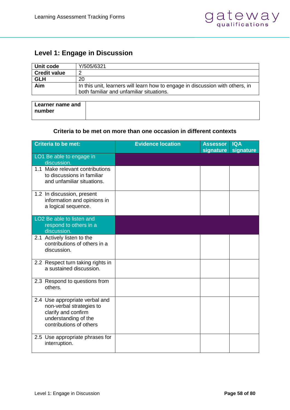

# **Level 1: Engage in Discussion**

| Unit code           | Y/505/6321                                                                                                                |
|---------------------|---------------------------------------------------------------------------------------------------------------------------|
| <b>Credit value</b> |                                                                                                                           |
| <b>GLH</b>          | 20                                                                                                                        |
| Aim                 | In this unit, learners will learn how to engage in discussion with others, in<br>both familiar and unfamiliar situations. |
|                     |                                                                                                                           |

| Learner name and |  |  |
|------------------|--|--|
| number           |  |  |
|                  |  |  |

| <b>Criteria to be met:</b>                                                                                                           | <b>Evidence location</b> | <b>Assessor</b><br>signature | <b>IQA</b><br>signature |
|--------------------------------------------------------------------------------------------------------------------------------------|--------------------------|------------------------------|-------------------------|
| LO1 Be able to engage in<br>discussion.                                                                                              |                          |                              |                         |
| 1.1 Make relevant contributions<br>to discussions in familiar<br>and unfamiliar situations.                                          |                          |                              |                         |
| 1.2 In discussion, present<br>information and opinions in<br>a logical sequence.                                                     |                          |                              |                         |
| LO <sub>2</sub> Be able to listen and<br>respond to others in a<br>discussion.                                                       |                          |                              |                         |
| 2.1 Actively listen to the<br>contributions of others in a<br>discussion.                                                            |                          |                              |                         |
| 2.2 Respect turn taking rights in<br>a sustained discussion.                                                                         |                          |                              |                         |
| 2.3 Respond to questions from<br>others.                                                                                             |                          |                              |                         |
| 2.4 Use appropriate verbal and<br>non-verbal strategies to<br>clarify and confirm<br>understanding of the<br>contributions of others |                          |                              |                         |
| 2.5 Use appropriate phrases for<br>interruption.                                                                                     |                          |                              |                         |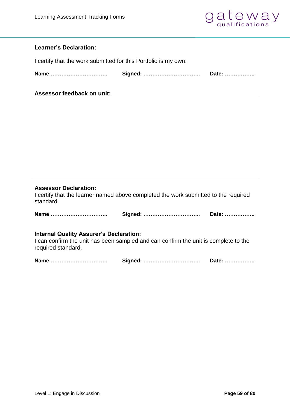

I certify that the work submitted for this Portfolio is my own.

| Name | Date: |
|------|-------|
|      |       |

#### **Assessor feedback on unit:**

#### **Assessor Declaration:**

I certify that the learner named above completed the work submitted to the required standard.

| Name | Date: |
|------|-------|
|      |       |

#### **Internal Quality Assurer's Declaration:**

| Name<br><b>Pianod</b><br><b>Signed:</b> |  |
|-----------------------------------------|--|
|-----------------------------------------|--|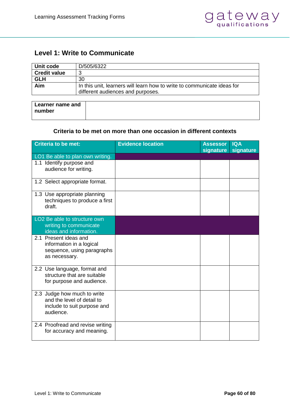

# **Level 1: Write to Communicate**

| <b>Unit code</b>    | D/505/6322                                                                                                   |
|---------------------|--------------------------------------------------------------------------------------------------------------|
| <b>Credit value</b> |                                                                                                              |
| <b>GLH</b>          | 30                                                                                                           |
| Aim                 | In this unit, learners will learn how to write to communicate ideas for<br>different audiences and purposes. |

| └ Learner name and |  |
|--------------------|--|
| ∣ number           |  |
|                    |  |

| <b>Criteria to be met:</b>                                                                            | <b>Evidence location</b> | <b>Assessor</b><br>signature | <b>IQA</b><br>signature |
|-------------------------------------------------------------------------------------------------------|--------------------------|------------------------------|-------------------------|
| LO1 Be able to plan own writing.                                                                      |                          |                              |                         |
| 1.1 Identify purpose and<br>audience for writing.                                                     |                          |                              |                         |
| 1.2 Select appropriate format.                                                                        |                          |                              |                         |
| 1.3 Use appropriate planning<br>techniques to produce a first<br>draft.                               |                          |                              |                         |
| LO2 Be able to structure own<br>writing to communicate<br>ideas and information.                      |                          |                              |                         |
| 2.1 Present ideas and<br>information in a logical<br>sequence, using paragraphs<br>as necessary.      |                          |                              |                         |
| 2.2 Use language, format and<br>structure that are suitable<br>for purpose and audience.              |                          |                              |                         |
| 2.3 Judge how much to write<br>and the level of detail to<br>include to suit purpose and<br>audience. |                          |                              |                         |
| 2.4 Proofread and revise writing<br>for accuracy and meaning.                                         |                          |                              |                         |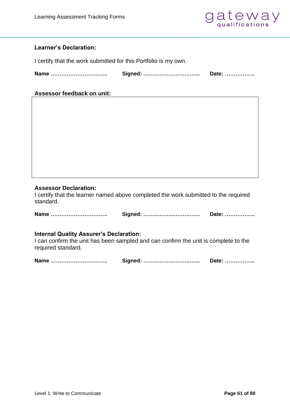

I certify that the work submitted for this Portfolio is my own.

| Name | Date: |
|------|-------|
|      |       |

#### **Assessor feedback on unit:**

#### **Assessor Declaration:**

I certify that the learner named above completed the work submitted to the required standard.

| Name | <b>Pianod</b><br><b>Signed:</b> | ∟uutti uurinnan il |
|------|---------------------------------|--------------------|
|      |                                 |                    |

#### **Internal Quality Assurer's Declaration:**

| Name<br><b>Pianod</b><br><b>Signed:</b> |  |
|-----------------------------------------|--|
|-----------------------------------------|--|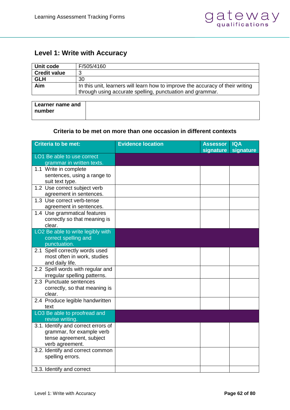# **Level 1: Write with Accuracy**

| Unit code           | F/505/4160                                                                                                                                  |
|---------------------|---------------------------------------------------------------------------------------------------------------------------------------------|
| <b>Credit value</b> | n                                                                                                                                           |
| <b>GLH</b>          | 30                                                                                                                                          |
| Aim                 | In this unit, learners will learn how to improve the accuracy of their writing<br>through using accurate spelling, punctuation and grammar. |

| Learner name and |  |
|------------------|--|
| number           |  |
|                  |  |

| <b>Criteria to be met:</b>          | <b>Evidence location</b> | <b>Assessor</b> | <b>IQA</b> |
|-------------------------------------|--------------------------|-----------------|------------|
|                                     |                          | signature       | signature  |
| LO1 Be able to use correct          |                          |                 |            |
| grammar in written texts.           |                          |                 |            |
| 1.1 Write in complete               |                          |                 |            |
| sentences, using a range to         |                          |                 |            |
| suit text type.                     |                          |                 |            |
| 1.2 Use correct subject verb        |                          |                 |            |
| agreement in sentences.             |                          |                 |            |
| 1.3 Use correct verb-tense          |                          |                 |            |
| agreement in sentences.             |                          |                 |            |
| 1.4 Use grammatical features        |                          |                 |            |
| correctly so that meaning is        |                          |                 |            |
| clear.                              |                          |                 |            |
| LO2 Be able to write legibly with   |                          |                 |            |
| correct spelling and                |                          |                 |            |
| punctuation.                        |                          |                 |            |
| 2.1 Spell correctly words used      |                          |                 |            |
| most often in work, studies         |                          |                 |            |
| and daily life.                     |                          |                 |            |
| 2.2 Spell words with regular and    |                          |                 |            |
| irregular spelling patterns.        |                          |                 |            |
| 2.3 Punctuate sentences             |                          |                 |            |
| correctly, so that meaning is       |                          |                 |            |
| clear.                              |                          |                 |            |
| 2.4 Produce legible handwritten     |                          |                 |            |
| text                                |                          |                 |            |
| LO3 Be able to proofread and        |                          |                 |            |
| revise writing.                     |                          |                 |            |
| 3.1. Identify and correct errors of |                          |                 |            |
| grammar, for example verb           |                          |                 |            |
| tense agreement, subject            |                          |                 |            |
| verb agreement.                     |                          |                 |            |
| 3.2. Identify and correct common    |                          |                 |            |
| spelling errors.                    |                          |                 |            |
|                                     |                          |                 |            |
| 3.3. Identify and correct           |                          |                 |            |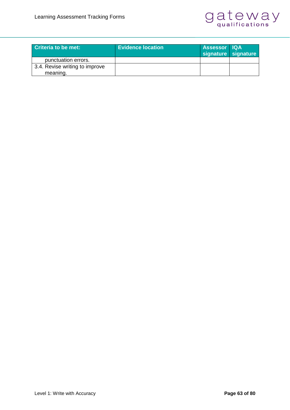

| Criteria to be met:            | <b>Evidence location</b> | <b>Assessor IQA</b><br>signature signature |  |
|--------------------------------|--------------------------|--------------------------------------------|--|
| punctuation errors.            |                          |                                            |  |
| 3.4. Revise writing to improve |                          |                                            |  |
| meaning.                       |                          |                                            |  |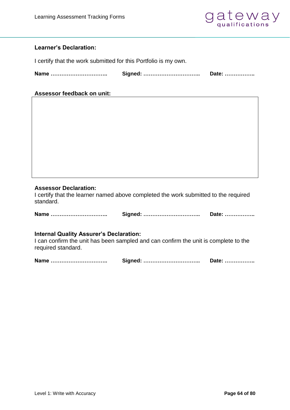

I certify that the work submitted for this Portfolio is my own.

| Name | Date: |
|------|-------|
|      |       |

#### **Assessor feedback on unit:**

#### **Assessor Declaration:**

I certify that the learner named above completed the work submitted to the required standard.

| Name | Date: |
|------|-------|
|      |       |

#### **Internal Quality Assurer's Declaration:**

| Name<br><b>Pianod</b><br><b>Signed:</b> |  |
|-----------------------------------------|--|
|-----------------------------------------|--|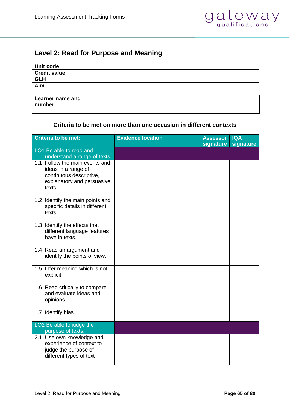

# **Level 2: Read for Purpose and Meaning**

| Unit code                  |  |
|----------------------------|--|
| <b>Credit value</b>        |  |
| <b>GLH</b>                 |  |
| Aim                        |  |
|                            |  |
| Learner name and<br>number |  |

| <b>Criteria to be met:</b>                                                                                               | <b>Evidence location</b> | <b>Assessor</b><br>signature | <b>IQA</b><br>signature |
|--------------------------------------------------------------------------------------------------------------------------|--------------------------|------------------------------|-------------------------|
| LO1 Be able to read and<br>understand a range of texts.                                                                  |                          |                              |                         |
| 1.1 Follow the main events and<br>ideas in a range of<br>continuous descriptive,<br>explanatory and persuasive<br>texts. |                          |                              |                         |
| 1.2 Identify the main points and<br>specific details in different<br>texts.                                              |                          |                              |                         |
| 1.3 Identify the effects that<br>different language features<br>have in texts.                                           |                          |                              |                         |
| 1.4 Read an argument and<br>identify the points of view.                                                                 |                          |                              |                         |
| 1.5 Infer meaning which is not<br>explicit.                                                                              |                          |                              |                         |
| 1.6 Read critically to compare<br>and evaluate ideas and<br>opinions.                                                    |                          |                              |                         |
| 1.7 Identify bias.                                                                                                       |                          |                              |                         |
| LO2 Be able to judge the<br>purpose of texts.                                                                            |                          |                              |                         |
| 2.1 Use own knowledge and<br>experience of context to<br>judge the purpose of<br>different types of text                 |                          |                              |                         |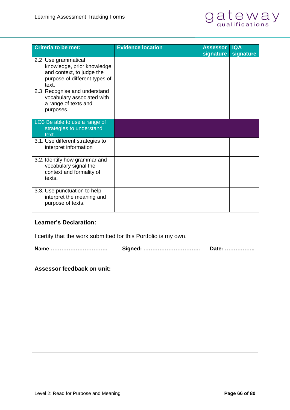

| <b>Criteria to be met:</b>                                                                                               | <b>Evidence location</b> | <b>Assessor</b><br>signature | <b>IQA</b><br>signature |
|--------------------------------------------------------------------------------------------------------------------------|--------------------------|------------------------------|-------------------------|
| 2.2 Use grammatical<br>knowledge, prior knowledge<br>and context, to judge the<br>purpose of different types of<br>text. |                          |                              |                         |
| 2.3 Recognise and understand<br>vocabulary associated with<br>a range of texts and<br>purposes.                          |                          |                              |                         |
| LO3 Be able to use a range of<br>strategies to understand<br>text.                                                       |                          |                              |                         |
| 3.1. Use different strategies to<br>interpret information                                                                |                          |                              |                         |
| 3.2. Identify how grammar and<br>vocabulary signal the<br>context and formality of<br>texts.                             |                          |                              |                         |
| 3.3. Use punctuation to help<br>interpret the meaning and<br>purpose of texts.                                           |                          |                              |                         |

I certify that the work submitted for this Portfolio is my own.

| Name | Signed: | י ה+הר<br>Dalt. |
|------|---------|-----------------|
|      |         |                 |

### **Assessor feedback on unit:**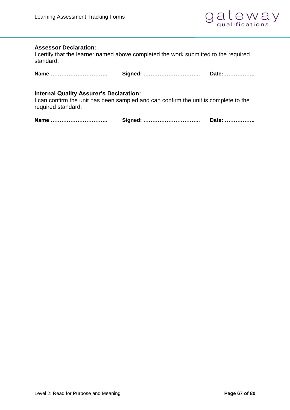

#### **Assessor Declaration:**

I certify that the learner named above completed the work submitted to the required standard.

| Name | Signed: | Pal <del>c. </del> |
|------|---------|--------------------|
|      |         |                    |

### **Internal Quality Assurer's Declaration:**

| Name |  | Date: |
|------|--|-------|
|------|--|-------|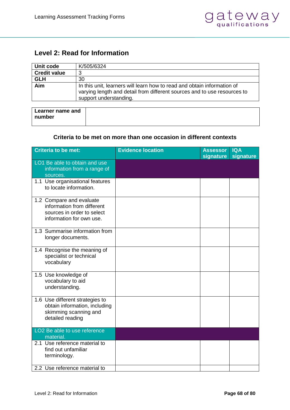

# **Level 2: Read for Information**

| Unit code           | K/505/6324                                                                                                                                                                    |
|---------------------|-------------------------------------------------------------------------------------------------------------------------------------------------------------------------------|
| <b>Credit value</b> |                                                                                                                                                                               |
| <b>GLH</b>          | 30                                                                                                                                                                            |
| Aim                 | In this unit, learners will learn how to read and obtain information of<br>varying length and detail from different sources and to use resources to<br>support understanding. |

| Learner name and |  |
|------------------|--|
| number           |  |
|                  |  |

| <b>Criteria to be met:</b>                                                                                       | <b>Evidence location</b> | <b>Assessor</b><br>signature | <b>IQA</b><br>signature |
|------------------------------------------------------------------------------------------------------------------|--------------------------|------------------------------|-------------------------|
| LO1 Be able to obtain and use<br>information from a range of<br>sources.                                         |                          |                              |                         |
| 1.1 Use organisational features<br>to locate information.                                                        |                          |                              |                         |
| 1.2 Compare and evaluate<br>information from different<br>sources in order to select<br>information for own use. |                          |                              |                         |
| 1.3 Summarise information from<br>longer documents.                                                              |                          |                              |                         |
| 1.4 Recognise the meaning of<br>specialist or technical<br>vocabulary                                            |                          |                              |                         |
| 1.5 Use knowledge of<br>vocabulary to aid<br>understanding.                                                      |                          |                              |                         |
| 1.6 Use different strategies to<br>obtain information, including<br>skimming scanning and<br>detailed reading    |                          |                              |                         |
| LO <sub>2</sub> Be able to use reference<br>material.                                                            |                          |                              |                         |
| 2.1 Use reference material to<br>find out unfamiliar<br>terminology.                                             |                          |                              |                         |
| 2.2 Use reference material to                                                                                    |                          |                              |                         |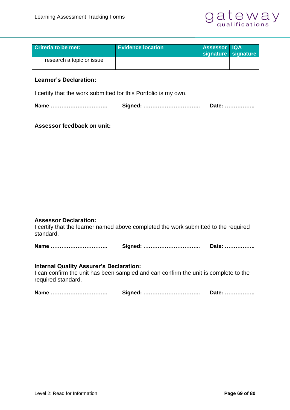

| Criteria to be met:       | <b>Evidence location</b> | <b>Assessor IQA</b><br>signature signature |  |
|---------------------------|--------------------------|--------------------------------------------|--|
| research a topic or issue |                          |                                            |  |

I certify that the work submitted for this Portfolio is my own.

| Name |  | Dale. |
|------|--|-------|
|------|--|-------|

#### **Assessor feedback on unit:**

#### **Assessor Declaration:**

I certify that the learner named above completed the work submitted to the required standard.

| Name |  | Date: |
|------|--|-------|
|------|--|-------|

### **Internal Quality Assurer's Declaration:**

| Name |  | Date: |
|------|--|-------|
|------|--|-------|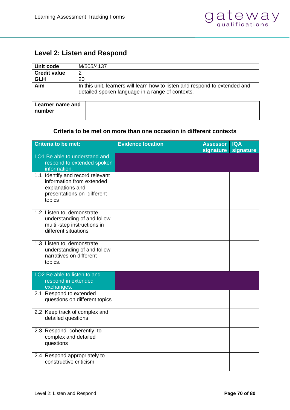

# **Level 2: Listen and Respond**

| In this unit, learners will learn how to listen and respond to extended and |
|-----------------------------------------------------------------------------|
|                                                                             |

| Learner name and |  |
|------------------|--|
| number           |  |
|                  |  |

| <b>Criteria to be met:</b>                                                                                                | <b>Evidence location</b> | <b>Assessor</b><br>signature | <b>IQA</b><br>signature |
|---------------------------------------------------------------------------------------------------------------------------|--------------------------|------------------------------|-------------------------|
| LO1 Be able to understand and<br>respond to extended spoken<br>information.                                               |                          |                              |                         |
| 1.1 Identify and record relevant<br>information from extended<br>explanations and<br>presentations on different<br>topics |                          |                              |                         |
| 1.2 Listen to, demonstrate<br>understanding of and follow<br>multi -step instructions in<br>different situations          |                          |                              |                         |
| 1.3 Listen to, demonstrate<br>understanding of and follow<br>narratives on different<br>topics.                           |                          |                              |                         |
| LO2 Be able to listen to and<br>respond in extended<br>exchanges.                                                         |                          |                              |                         |
| 2.1 Respond to extended<br>questions on different topics                                                                  |                          |                              |                         |
| 2.2 Keep track of complex and<br>detailed questions                                                                       |                          |                              |                         |
| 2.3 Respond coherently to<br>complex and detailed<br>questions                                                            |                          |                              |                         |
| 2.4 Respond appropriately to<br>constructive criticism                                                                    |                          |                              |                         |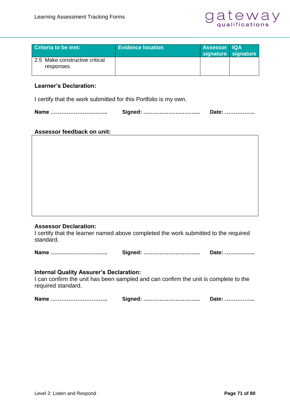

| Criteria to be met:                          | <b>Evidence location</b> | <b>Assessor IQA</b><br>signature signature |  |
|----------------------------------------------|--------------------------|--------------------------------------------|--|
| 2.5 Make constructive critical<br>responses. |                          |                                            |  |

I certify that the work submitted for this Portfolio is my own.

| Name |  | Date: |
|------|--|-------|
|------|--|-------|

| Assessor feedback on unit: |  |
|----------------------------|--|
|                            |  |
|                            |  |
|                            |  |
|                            |  |
|                            |  |
|                            |  |
|                            |  |
|                            |  |
|                            |  |
|                            |  |

#### **Assessor Declaration:**

I certify that the learner named above completed the work submitted to the required standard.

| Name | Signed: | $. - + -$<br>$PQUQU$ , |
|------|---------|------------------------|
|      |         |                        |

#### **Internal Quality Assurer's Declaration:**

| Name |  | Date: |
|------|--|-------|
|------|--|-------|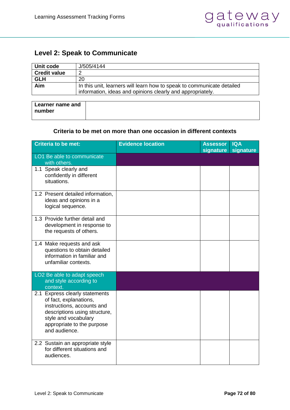

# **Level 2: Speak to Communicate**

| Unit code           | J/505/4144                                                                                                                           |
|---------------------|--------------------------------------------------------------------------------------------------------------------------------------|
| <b>Credit value</b> |                                                                                                                                      |
| <b>GLH</b>          | 20                                                                                                                                   |
| Aim                 | In this unit, learners will learn how to speak to communicate detailed<br>information, ideas and opinions clearly and appropriately. |

| Learner name and |  |
|------------------|--|
| ∣ number         |  |
|                  |  |

| <b>Criteria to be met:</b>                                                                                                                                                                     | <b>Evidence location</b> | <b>Assessor</b><br>signature | <b>IQA</b><br>signature |
|------------------------------------------------------------------------------------------------------------------------------------------------------------------------------------------------|--------------------------|------------------------------|-------------------------|
| LO1 Be able to communicate<br>with others.                                                                                                                                                     |                          |                              |                         |
| 1.1 Speak clearly and<br>confidently in different<br>situations.                                                                                                                               |                          |                              |                         |
| 1.2 Present detailed information,<br>ideas and opinions in a<br>logical sequence.                                                                                                              |                          |                              |                         |
| 1.3 Provide further detail and<br>development in response to<br>the requests of others.                                                                                                        |                          |                              |                         |
| 1.4 Make requests and ask<br>questions to obtain detailed<br>information in familiar and<br>unfamiliar contexts.                                                                               |                          |                              |                         |
| LO2 Be able to adapt speech<br>and style according to<br>context.                                                                                                                              |                          |                              |                         |
| 2.1 Express clearly statements<br>of fact, explanations,<br>instructions, accounts and<br>descriptions using structure,<br>style and vocabulary<br>appropriate to the purpose<br>and audience. |                          |                              |                         |
| 2.2 Sustain an appropriate style<br>for different situations and<br>audiences.                                                                                                                 |                          |                              |                         |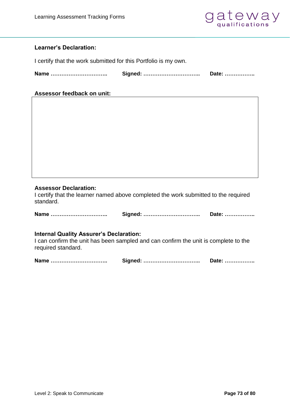

I certify that the work submitted for this Portfolio is my own.

| Name | Date: |
|------|-------|
|      |       |

# **Assessor feedback on unit:**

# **Assessor Declaration:**

I certify that the learner named above completed the work submitted to the required standard.

| Name | Date: |
|------|-------|
|      |       |

#### **Internal Quality Assurer's Declaration:**

| Name<br><b>Pianod</b><br><b>Signed:</b> |  |
|-----------------------------------------|--|
|-----------------------------------------|--|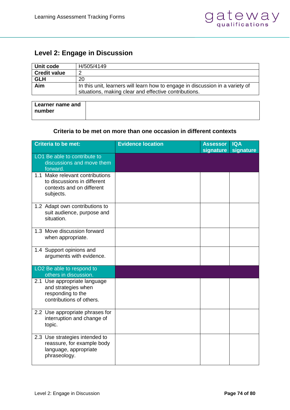# **Level 2: Engage in Discussion**

| In this unit, learners will learn how to engage in discussion in a variety of |
|-------------------------------------------------------------------------------|
|                                                                               |

| Learner name and |  |
|------------------|--|
| ∣ number         |  |
|                  |  |

| <b>Criteria to be met:</b>                                                                               | <b>Evidence location</b> | <b>Assessor</b> | <b>IQA</b> |
|----------------------------------------------------------------------------------------------------------|--------------------------|-----------------|------------|
| LO1 Be able to contribute to<br>discussions and move them<br>forward.                                    |                          | signature       | signature  |
| 1.1 Make relevant contributions<br>to discussions in different<br>contexts and on different<br>subjects. |                          |                 |            |
| 1.2 Adapt own contributions to<br>suit audience, purpose and<br>situation.                               |                          |                 |            |
| 1.3 Move discussion forward<br>when appropriate.                                                         |                          |                 |            |
| 1.4 Support opinions and<br>arguments with evidence.                                                     |                          |                 |            |
| LO2 Be able to respond to<br>others in discussion.                                                       |                          |                 |            |
| 2.1 Use appropriate language<br>and strategies when<br>responding to the<br>contributions of others.     |                          |                 |            |
| 2.2 Use appropriate phrases for<br>interruption and change of<br>topic.                                  |                          |                 |            |
| 2.3 Use strategies intended to<br>reassure, for example body<br>language, appropriate<br>phraseology.    |                          |                 |            |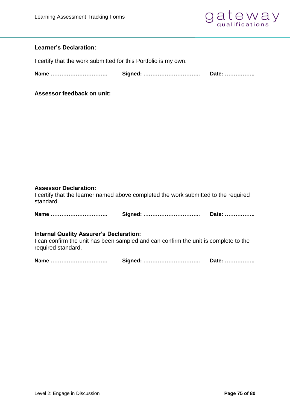

I certify that the work submitted for this Portfolio is my own.

| Name | Date: |
|------|-------|
|      |       |

# **Assessor feedback on unit:**

# **Assessor Declaration:**

I certify that the learner named above completed the work submitted to the required standard.

| Name | Date: |
|------|-------|
|      |       |

#### **Internal Quality Assurer's Declaration:**

| Name | <b>Pianoa</b><br><u>Signed: </u> |  |
|------|----------------------------------|--|
|------|----------------------------------|--|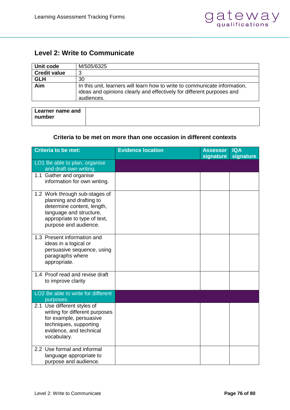

# **Level 2: Write to Communicate**

| Unit code           | M/505/6325                                                                                                                                                        |
|---------------------|-------------------------------------------------------------------------------------------------------------------------------------------------------------------|
| <b>Credit value</b> |                                                                                                                                                                   |
| <b>GLH</b>          | 30                                                                                                                                                                |
| Aim                 | In this unit, learners will learn how to write to communicate information,<br>ideas and opinions clearly and effectively for different purposes and<br>audiences. |

| Learner name and |  |
|------------------|--|
| number           |  |
|                  |  |

| <b>Criteria to be met:</b>                                                                                                                                                   | <b>Evidence location</b> | <b>Assessor</b> | <b>IQA</b> |
|------------------------------------------------------------------------------------------------------------------------------------------------------------------------------|--------------------------|-----------------|------------|
| LO1 Be able to plan, organise<br>and draft own writing.                                                                                                                      |                          | signature       | signature  |
| 1.1 Gather and organise<br>information for own writing.                                                                                                                      |                          |                 |            |
| 1.2 Work through sub-stages of<br>planning and drafting to<br>determine content, length,<br>language and structure,<br>appropriate to type of text,<br>purpose and audience. |                          |                 |            |
| 1.3 Present information and<br>ideas in a logical or<br>persuasive sequence, using<br>paragraphs where<br>appropriate.                                                       |                          |                 |            |
| 1.4 Proof read and revise draft<br>to improve clarity                                                                                                                        |                          |                 |            |
| LO2 Be able to write for different<br>purposes.                                                                                                                              |                          |                 |            |
| 2.1 Use different styles of<br>writing for different purposes<br>for example, persuasive<br>techniques, supporting<br>evidence, and technical<br>vocabulary.                 |                          |                 |            |
| 2.2 Use formal and informal<br>language appropriate to<br>purpose and audience.                                                                                              |                          |                 |            |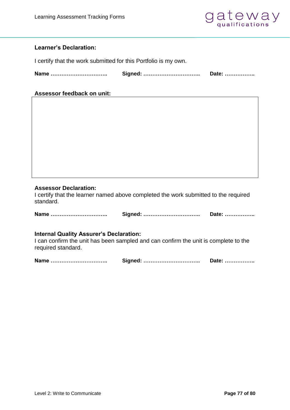

I certify that the work submitted for this Portfolio is my own.

| Name | Date: |
|------|-------|
|      |       |

# **Assessor feedback on unit:**

# **Assessor Declaration:**

I certify that the learner named above completed the work submitted to the required standard.

| Name | Date: |
|------|-------|
|      |       |

#### **Internal Quality Assurer's Declaration:**

| Name<br><b>Pianod</b><br><b>Signed:</b> |  |
|-----------------------------------------|--|
|-----------------------------------------|--|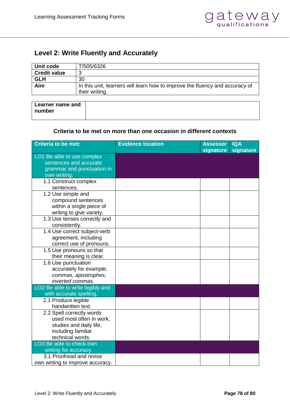# **Level 2: Write Fluently and Accurately**

| Unit code           | T/505/6326                                                                                     |
|---------------------|------------------------------------------------------------------------------------------------|
| <b>Credit value</b> |                                                                                                |
| <b>GLH</b>          | 30                                                                                             |
| Aim                 | In this unit, learners will learn how to improve the fluency and accuracy of<br>their writing. |

| Learner name and |  |
|------------------|--|
| number           |  |
|                  |  |

| <b>Criteria to be met:</b>       | <b>Evidence location</b> | <b>Assessor</b> | <b>IQA</b> |
|----------------------------------|--------------------------|-----------------|------------|
|                                  |                          | signature       | signature  |
| LO1 Be able to use complex       |                          |                 |            |
| sentences and accurate           |                          |                 |            |
| grammar and punctuation in       |                          |                 |            |
| own writing.                     |                          |                 |            |
| 1.1 Construct complex            |                          |                 |            |
| sentences.                       |                          |                 |            |
| 1.2 Use simple and               |                          |                 |            |
| compound sentences               |                          |                 |            |
| within a single piece of         |                          |                 |            |
| writing to give variety.         |                          |                 |            |
| 1.3 Use tenses correctly and     |                          |                 |            |
| consistently.                    |                          |                 |            |
| 1.4 Use correct subject-verb     |                          |                 |            |
| agreement, including             |                          |                 |            |
| correct use of pronouns.         |                          |                 |            |
| 1.5 Use pronouns so that         |                          |                 |            |
| their meaning is clear.          |                          |                 |            |
| 1.6 Use punctuation              |                          |                 |            |
| accurately for example,          |                          |                 |            |
| commas, apostrophes,             |                          |                 |            |
| inverted commas.                 |                          |                 |            |
| LO2 Be able to write legibly and |                          |                 |            |
| with accurate spelling.          |                          |                 |            |
| 2.1 Produce legible              |                          |                 |            |
| handwritten text.                |                          |                 |            |
| 2.2 Spell correctly words        |                          |                 |            |
| used most often in work,         |                          |                 |            |
| studies and daily life,          |                          |                 |            |
| including familiar               |                          |                 |            |
| technical words.                 |                          |                 |            |
| LO3 Be able to check own         |                          |                 |            |
| writing for accuracy.            |                          |                 |            |
| 3.1 Proofread and revise         |                          |                 |            |
| own writing to improve accuracy. |                          |                 |            |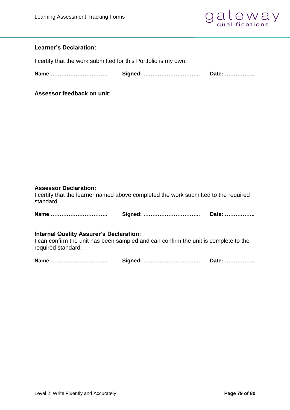

I certify that the work submitted for this Portfolio is my own.

| Name | Date: |
|------|-------|
|      |       |

# **Assessor feedback on unit:**

# **Assessor Declaration:**

I certify that the learner named above completed the work submitted to the required standard.

| Name | Date: |
|------|-------|
|      |       |

#### **Internal Quality Assurer's Declaration:**

| Name<br><b>Pianod</b><br><b>Signed:</b> |  |
|-----------------------------------------|--|
|-----------------------------------------|--|